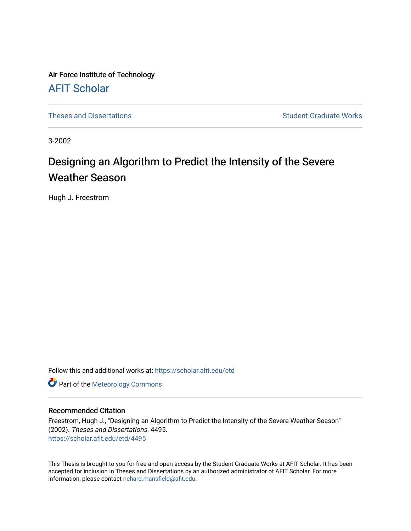Air Force Institute of Technology [AFIT Scholar](https://scholar.afit.edu/) 

[Theses and Dissertations](https://scholar.afit.edu/etd) **Student Graduate Works** Student Graduate Works

3-2002

# Designing an Algorithm to Predict the Intensity of the Severe Weather Season

Hugh J. Freestrom

Follow this and additional works at: [https://scholar.afit.edu/etd](https://scholar.afit.edu/etd?utm_source=scholar.afit.edu%2Fetd%2F4495&utm_medium=PDF&utm_campaign=PDFCoverPages) 

**Part of the Meteorology Commons** 

## Recommended Citation

Freestrom, Hugh J., "Designing an Algorithm to Predict the Intensity of the Severe Weather Season" (2002). Theses and Dissertations. 4495. [https://scholar.afit.edu/etd/4495](https://scholar.afit.edu/etd/4495?utm_source=scholar.afit.edu%2Fetd%2F4495&utm_medium=PDF&utm_campaign=PDFCoverPages)

This Thesis is brought to you for free and open access by the Student Graduate Works at AFIT Scholar. It has been accepted for inclusion in Theses and Dissertations by an authorized administrator of AFIT Scholar. For more information, please contact [richard.mansfield@afit.edu](mailto:richard.mansfield@afit.edu).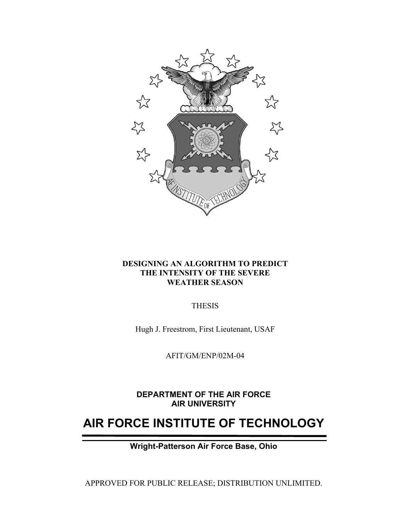

# **DESIGNING AN ALGORITHM TO PREDICT THE INTENSITY OF THE SEVERE WEATHER SEASON**

THESIS

Hugh J. Freestrom, First Lieutenant, USAF

AFIT/GM/ENP/02M-04

**DEPARTMENT OF THE AIR FORCE AIR UNIVERSITY** 

# **AIR FORCE INSTITUTE OF TECHNOLOGY**

**Wright-Patterson Air Force Base, Ohio** 

APPROVED FOR PUBLIC RELEASE; DISTRIBUTION UNLIMITED.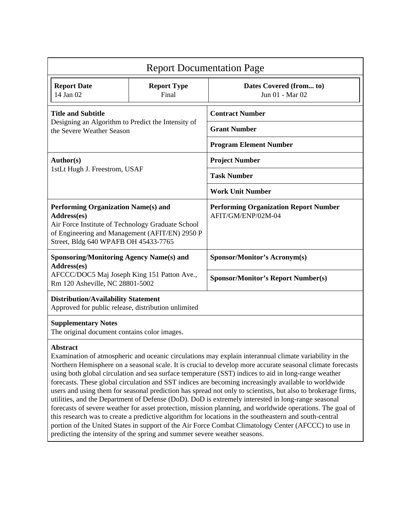| <b>Report Documentation Page</b>                                                                                                                                                                                                                                                                                                                                                                                                                                                                                                                                                                                                                                                                                                                                                                                                                                                                                                                                                                             |                             |                                                                    |  |
|--------------------------------------------------------------------------------------------------------------------------------------------------------------------------------------------------------------------------------------------------------------------------------------------------------------------------------------------------------------------------------------------------------------------------------------------------------------------------------------------------------------------------------------------------------------------------------------------------------------------------------------------------------------------------------------------------------------------------------------------------------------------------------------------------------------------------------------------------------------------------------------------------------------------------------------------------------------------------------------------------------------|-----------------------------|--------------------------------------------------------------------|--|
| <b>Report Date</b><br>14 Jan 02                                                                                                                                                                                                                                                                                                                                                                                                                                                                                                                                                                                                                                                                                                                                                                                                                                                                                                                                                                              | <b>Report Type</b><br>Final | Dates Covered (from to)<br>Jun 01 - Mar 02                         |  |
| <b>Title and Subtitle</b><br>Designing an Algorithm to Predict the Intensity of<br>the Severe Weather Season                                                                                                                                                                                                                                                                                                                                                                                                                                                                                                                                                                                                                                                                                                                                                                                                                                                                                                 |                             | <b>Contract Number</b>                                             |  |
|                                                                                                                                                                                                                                                                                                                                                                                                                                                                                                                                                                                                                                                                                                                                                                                                                                                                                                                                                                                                              |                             | <b>Grant Number</b>                                                |  |
|                                                                                                                                                                                                                                                                                                                                                                                                                                                                                                                                                                                                                                                                                                                                                                                                                                                                                                                                                                                                              |                             | <b>Program Element Number</b>                                      |  |
| <b>Author(s)</b><br>1stLt Hugh J. Freestrom, USAF                                                                                                                                                                                                                                                                                                                                                                                                                                                                                                                                                                                                                                                                                                                                                                                                                                                                                                                                                            |                             | <b>Project Number</b>                                              |  |
|                                                                                                                                                                                                                                                                                                                                                                                                                                                                                                                                                                                                                                                                                                                                                                                                                                                                                                                                                                                                              |                             | <b>Task Number</b>                                                 |  |
|                                                                                                                                                                                                                                                                                                                                                                                                                                                                                                                                                                                                                                                                                                                                                                                                                                                                                                                                                                                                              |                             | <b>Work Unit Number</b>                                            |  |
| <b>Performing Organization Name(s) and</b><br>Address(es)<br>Air Force Institute of Technology Graduate School<br>of Engineering and Management (AFIT/EN) 2950 P<br>Street, Bldg 640 WPAFB OH 45433-7765                                                                                                                                                                                                                                                                                                                                                                                                                                                                                                                                                                                                                                                                                                                                                                                                     |                             | <b>Performing Organization Report Number</b><br>AFIT/GM/ENP/02M-04 |  |
| <b>Sponsoring/Monitoring Agency Name(s) and</b><br>Address(es)<br>AFCCC/DOC5 Maj Joseph King 151 Patton Ave.,<br>Rm 120 Asheville, NC 28801-5002                                                                                                                                                                                                                                                                                                                                                                                                                                                                                                                                                                                                                                                                                                                                                                                                                                                             |                             | <b>Sponsor/Monitor's Acronym(s)</b>                                |  |
|                                                                                                                                                                                                                                                                                                                                                                                                                                                                                                                                                                                                                                                                                                                                                                                                                                                                                                                                                                                                              |                             | <b>Sponsor/Monitor's Report Number(s)</b>                          |  |
| <b>Distribution/Availability Statement</b><br>Approved for public release, distribution unlimited                                                                                                                                                                                                                                                                                                                                                                                                                                                                                                                                                                                                                                                                                                                                                                                                                                                                                                            |                             |                                                                    |  |
| <b>Supplementary Notes</b><br>The original document contains color images.                                                                                                                                                                                                                                                                                                                                                                                                                                                                                                                                                                                                                                                                                                                                                                                                                                                                                                                                   |                             |                                                                    |  |
| <b>Abstract</b><br>Examination of atmospheric and oceanic circulations may explain interannual climate variability in the<br>Northern Hemisphere on a seasonal scale. It is crucial to develop more accurate seasonal climate forecasts<br>using both global circulation and sea surface temperature (SST) indices to aid in long-range weather<br>forecasts. These global circulation and SST indices are becoming increasingly available to worldwide<br>users and using them for seasonal prediction has spread not only to scientists, but also to brokerage firms,<br>utilities, and the Department of Defense (DoD). DoD is extremely interested in long-range seasonal<br>forecasts of severe weather for asset protection, mission planning, and worldwide operations. The goal of<br>this research was to create a predictive algorithm for locations in the southeastern and south-central<br>portion of the United States in support of the Air Force Combat Climatology Center (AFCCC) to use in |                             |                                                                    |  |

predicting the intensity of the spring and summer severe weather seasons.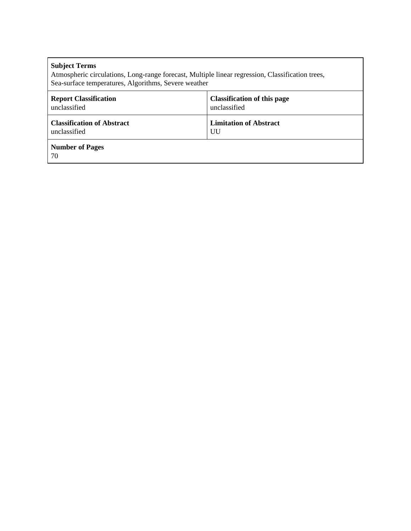| <b>Subject Terms</b><br>Atmospheric circulations, Long-range forecast, Multiple linear regression, Classification trees,<br>Sea-surface temperatures, Algorithms, Severe weather |                                    |  |  |  |
|----------------------------------------------------------------------------------------------------------------------------------------------------------------------------------|------------------------------------|--|--|--|
| <b>Report Classification</b>                                                                                                                                                     | <b>Classification of this page</b> |  |  |  |
| unclassified                                                                                                                                                                     | unclassified                       |  |  |  |
| <b>Classification of Abstract</b>                                                                                                                                                | <b>Limitation of Abstract</b>      |  |  |  |
| unclassified                                                                                                                                                                     | UU                                 |  |  |  |
| <b>Number of Pages</b><br>70                                                                                                                                                     |                                    |  |  |  |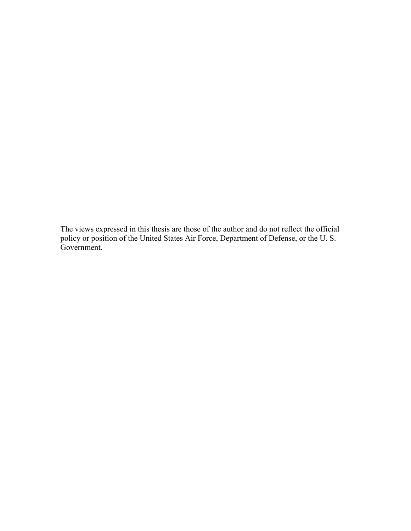The views expressed in this thesis are those of the author and do not reflect the official policy or position of the United States Air Force, Department of Defense, or the U. S. Government.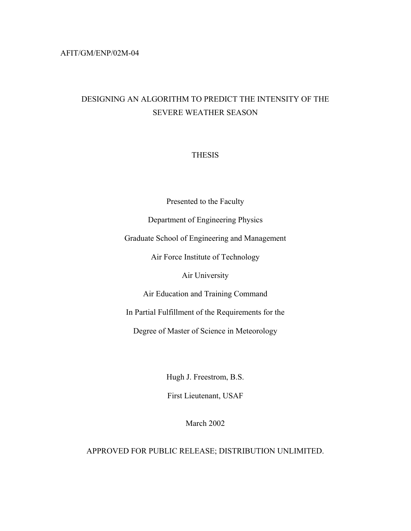# AFIT/GM/ENP/02M-04

# DESIGNING AN ALGORITHM TO PREDICT THE INTENSITY OF THE SEVERE WEATHER SEASON

# THESIS

Presented to the Faculty

Department of Engineering Physics

Graduate School of Engineering and Management

Air Force Institute of Technology

Air University

Air Education and Training Command

In Partial Fulfillment of the Requirements for the

Degree of Master of Science in Meteorology

Hugh J. Freestrom, B.S.

First Lieutenant, USAF

March 2002

APPROVED FOR PUBLIC RELEASE; DISTRIBUTION UNLIMITED.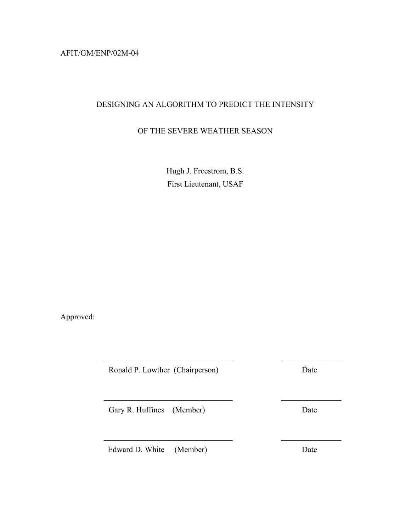AFIT/GM/ENP/02M-04

# DESIGNING AN ALGORITHM TO PREDICT THE INTENSITY

# OF THE SEVERE WEATHER SEASON

Hugh J. Freestrom, B.S. First Lieutenant, USAF

 $\mathcal{L}_\text{max}$  , and the contract of the contract of the contract of the contract of the contract of the contract of the contract of the contract of the contract of the contract of the contract of the contract of the contr

 $\mathcal{L}_\text{max}$  and the contract of the contract of the contract of the contract of the contract of the contract of the contract of the contract of the contract of the contract of the contract of the contract of the contrac

 $\mathcal{L}_\text{max}$  , and the contract of the contract of the contract of the contract of the contract of the contract of the contract of the contract of the contract of the contract of the contract of the contract of the contr

Approved:

Ronald P. Lowther (Chairperson) Date

Gary R. Huffines (Member) Date

Edward D. White (Member) Date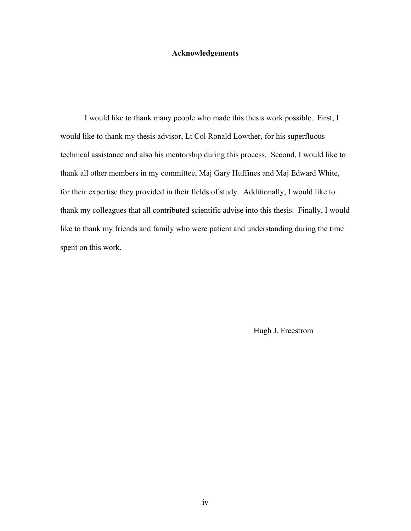## **Acknowledgements**

I would like to thank many people who made this thesis work possible. First, I would like to thank my thesis advisor, Lt Col Ronald Lowther, for his superfluous technical assistance and also his mentorship during this process. Second, I would like to thank all other members in my committee, Maj Gary Huffines and Maj Edward White, for their expertise they provided in their fields of study. Additionally, I would like to thank my colleagues that all contributed scientific advise into this thesis. Finally, I would like to thank my friends and family who were patient and understanding during the time spent on this work.

Hugh J. Freestrom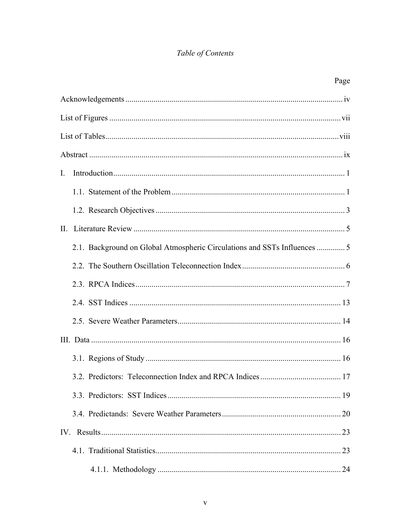# Table of Contents

|                |                                                                           | Page |
|----------------|---------------------------------------------------------------------------|------|
|                |                                                                           |      |
|                |                                                                           |      |
|                |                                                                           |      |
|                |                                                                           |      |
| $\mathbf{I}$ . |                                                                           |      |
|                |                                                                           |      |
|                |                                                                           |      |
|                |                                                                           |      |
|                | 2.1. Background on Global Atmospheric Circulations and SSTs Influences  5 |      |
|                |                                                                           |      |
|                |                                                                           |      |
|                |                                                                           |      |
|                |                                                                           |      |
|                |                                                                           |      |
|                |                                                                           |      |
|                |                                                                           |      |
|                |                                                                           |      |
|                |                                                                           |      |
|                |                                                                           |      |
|                |                                                                           |      |
|                |                                                                           |      |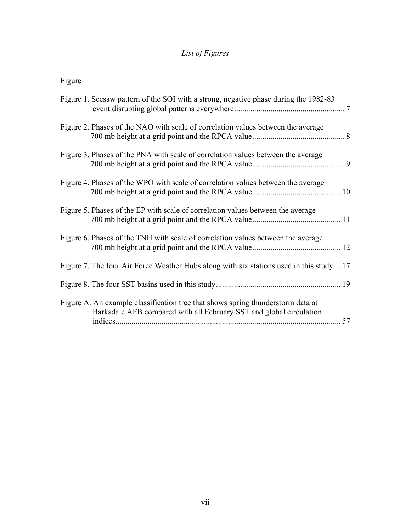# *List of Figures*

Figure

| Figure 1. Seesaw pattern of the SOI with a strong, negative phase during the 1982-83                                                                   |
|--------------------------------------------------------------------------------------------------------------------------------------------------------|
| Figure 2. Phases of the NAO with scale of correlation values between the average                                                                       |
| Figure 3. Phases of the PNA with scale of correlation values between the average                                                                       |
| Figure 4. Phases of the WPO with scale of correlation values between the average                                                                       |
| Figure 5. Phases of the EP with scale of correlation values between the average                                                                        |
| Figure 6. Phases of the TNH with scale of correlation values between the average                                                                       |
| Figure 7. The four Air Force Weather Hubs along with six stations used in this study  17                                                               |
|                                                                                                                                                        |
| Figure A. An example classification tree that shows spring thunderstorm data at<br>Barksdale AFB compared with all February SST and global circulation |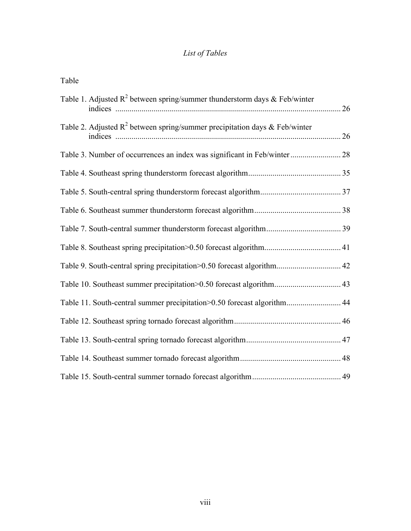# *List of Tables*

| Table                                                                         |  |
|-------------------------------------------------------------------------------|--|
| Table 1. Adjusted $R^2$ between spring/summer thunderstorm days & Feb/winter  |  |
| Table 2. Adjusted $R^2$ between spring/summer precipitation days & Feb/winter |  |
| Table 3. Number of occurrences an index was significant in Feb/winter 28      |  |
|                                                                               |  |
|                                                                               |  |
|                                                                               |  |
|                                                                               |  |
|                                                                               |  |
| Table 9. South-central spring precipitation>0.50 forecast algorithm 42        |  |
| Table 10. Southeast summer precipitation>0.50 forecast algorithm 43           |  |
| Table 11. South-central summer precipitation>0.50 forecast algorithm 44       |  |
|                                                                               |  |
|                                                                               |  |
|                                                                               |  |
|                                                                               |  |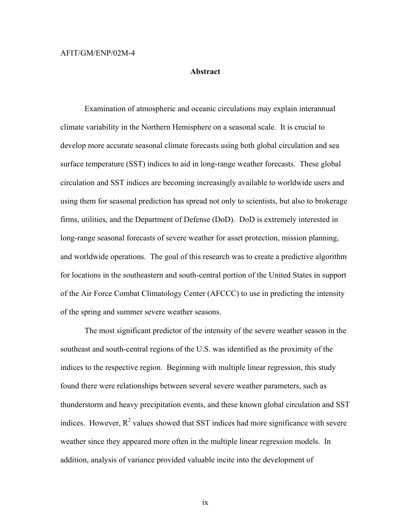### AFIT/GM/ENP/02M-4

### **Abstract**

Examination of atmospheric and oceanic circulations may explain interannual climate variability in the Northern Hemisphere on a seasonal scale. It is crucial to develop more accurate seasonal climate forecasts using both global circulation and sea surface temperature (SST) indices to aid in long-range weather forecasts. These global circulation and SST indices are becoming increasingly available to worldwide users and using them for seasonal prediction has spread not only to scientists, but also to brokerage firms, utilities, and the Department of Defense (DoD). DoD is extremely interested in long-range seasonal forecasts of severe weather for asset protection, mission planning, and worldwide operations. The goal of this research was to create a predictive algorithm for locations in the southeastern and south-central portion of the United States in support of the Air Force Combat Climatology Center (AFCCC) to use in predicting the intensity of the spring and summer severe weather seasons.

The most significant predictor of the intensity of the severe weather season in the southeast and south-central regions of the U.S. was identified as the proximity of the indices to the respective region. Beginning with multiple linear regression, this study found there were relationships between several severe weather parameters, such as thunderstorm and heavy precipitation events, and these known global circulation and SST indices. However,  $R^2$  values showed that SST indices had more significance with severe weather since they appeared more often in the multiple linear regression models. In addition, analysis of variance provided valuable incite into the development of

ix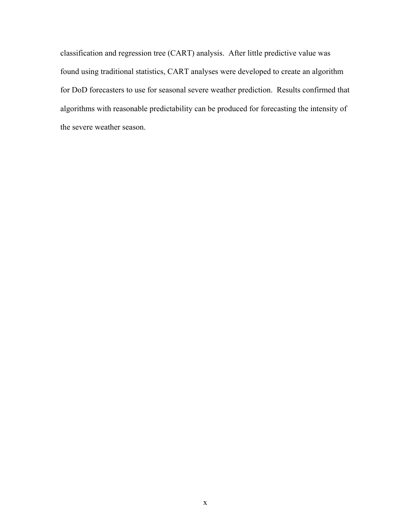classification and regression tree (CART) analysis. After little predictive value was found using traditional statistics, CART analyses were developed to create an algorithm for DoD forecasters to use for seasonal severe weather prediction. Results confirmed that algorithms with reasonable predictability can be produced for forecasting the intensity of the severe weather season.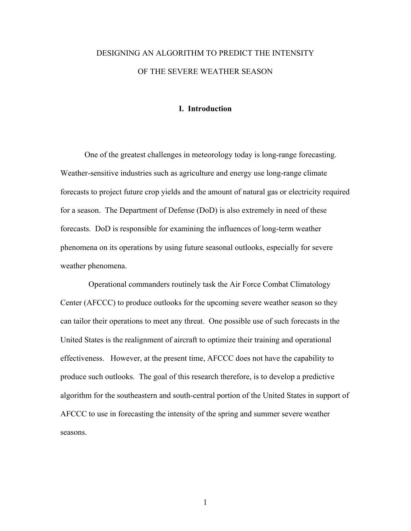# DESIGNING AN ALGORITHM TO PREDICT THE INTENSITY OF THE SEVERE WEATHER SEASON

### **I. Introduction**

One of the greatest challenges in meteorology today is long-range forecasting. Weather-sensitive industries such as agriculture and energy use long-range climate forecasts to project future crop yields and the amount of natural gas or electricity required for a season. The Department of Defense (DoD) is also extremely in need of these forecasts. DoD is responsible for examining the influences of long-term weather phenomena on its operations by using future seasonal outlooks, especially for severe weather phenomena.

 Operational commanders routinely task the Air Force Combat Climatology Center (AFCCC) to produce outlooks for the upcoming severe weather season so they can tailor their operations to meet any threat. One possible use of such forecasts in the United States is the realignment of aircraft to optimize their training and operational effectiveness. However, at the present time, AFCCC does not have the capability to produce such outlooks. The goal of this research therefore, is to develop a predictive algorithm for the southeastern and south-central portion of the United States in support of AFCCC to use in forecasting the intensity of the spring and summer severe weather seasons.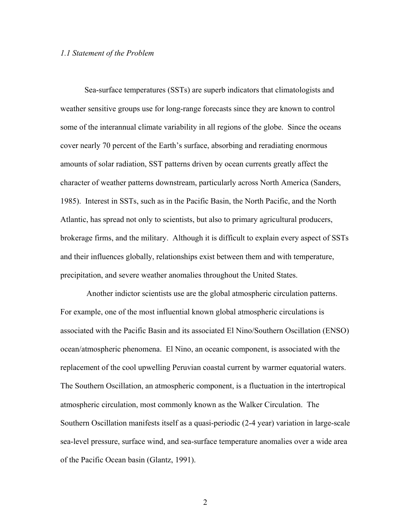### *1.1 Statement of the Problem*

Sea-surface temperatures (SSTs) are superb indicators that climatologists and weather sensitive groups use for long-range forecasts since they are known to control some of the interannual climate variability in all regions of the globe. Since the oceans cover nearly 70 percent of the Earth's surface, absorbing and reradiating enormous amounts of solar radiation, SST patterns driven by ocean currents greatly affect the character of weather patterns downstream, particularly across North America (Sanders, 1985). Interest in SSTs, such as in the Pacific Basin, the North Pacific, and the North Atlantic, has spread not only to scientists, but also to primary agricultural producers, brokerage firms, and the military. Although it is difficult to explain every aspect of SSTs and their influences globally, relationships exist between them and with temperature, precipitation, and severe weather anomalies throughout the United States.

 Another indictor scientists use are the global atmospheric circulation patterns. For example, one of the most influential known global atmospheric circulations is associated with the Pacific Basin and its associated El Nino/Southern Oscillation (ENSO) ocean/atmospheric phenomena. El Nino, an oceanic component, is associated with the replacement of the cool upwelling Peruvian coastal current by warmer equatorial waters. The Southern Oscillation, an atmospheric component, is a fluctuation in the intertropical atmospheric circulation, most commonly known as the Walker Circulation. The Southern Oscillation manifests itself as a quasi-periodic (2-4 year) variation in large-scale sea-level pressure, surface wind, and sea-surface temperature anomalies over a wide area of the Pacific Ocean basin (Glantz, 1991).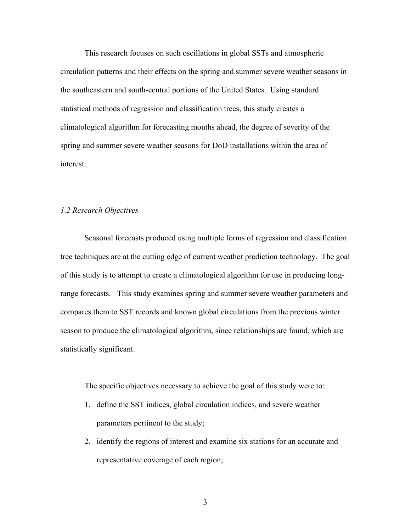This research focuses on such oscillations in global SSTs and atmospheric circulation patterns and their effects on the spring and summer severe weather seasons in the southeastern and south-central portions of the United States. Using standard statistical methods of regression and classification trees, this study creates a climatological algorithm for forecasting months ahead, the degree of severity of the spring and summer severe weather seasons for DoD installations within the area of interest.

## *1.2 Research Objectives*

Seasonal forecasts produced using multiple forms of regression and classification tree techniques are at the cutting edge of current weather prediction technology. The goal of this study is to attempt to create a climatological algorithm for use in producing longrange forecasts. This study examines spring and summer severe weather parameters and compares them to SST records and known global circulations from the previous winter season to produce the climatological algorithm, since relationships are found, which are statistically significant.

The specific objectives necessary to achieve the goal of this study were to:

- 1. define the SST indices, global circulation indices, and severe weather parameters pertinent to the study;
- 2. identify the regions of interest and examine six stations for an accurate and representative coverage of each region;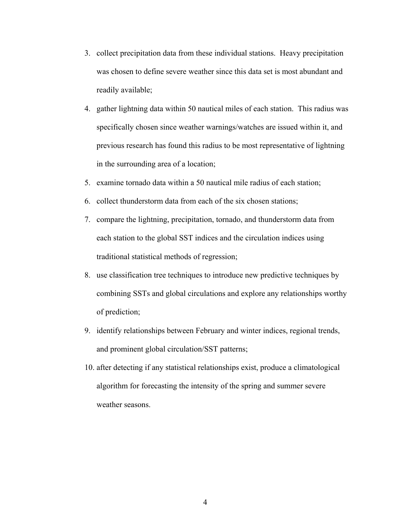- 3. collect precipitation data from these individual stations. Heavy precipitation was chosen to define severe weather since this data set is most abundant and readily available;
- 4. gather lightning data within 50 nautical miles of each station. This radius was specifically chosen since weather warnings/watches are issued within it, and previous research has found this radius to be most representative of lightning in the surrounding area of a location;
- 5. examine tornado data within a 50 nautical mile radius of each station;
- 6. collect thunderstorm data from each of the six chosen stations;
- 7. compare the lightning, precipitation, tornado, and thunderstorm data from each station to the global SST indices and the circulation indices using traditional statistical methods of regression;
- 8. use classification tree techniques to introduce new predictive techniques by combining SSTs and global circulations and explore any relationships worthy of prediction;
- 9. identify relationships between February and winter indices, regional trends, and prominent global circulation/SST patterns;
- 10. after detecting if any statistical relationships exist, produce a climatological algorithm for forecasting the intensity of the spring and summer severe weather seasons.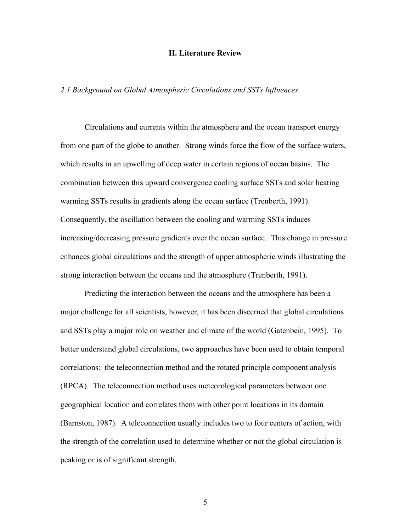### **II. Literature Review**

## *2.1 Background on Global Atmospheric Circulations and SSTs Influences*

Circulations and currents within the atmosphere and the ocean transport energy from one part of the globe to another. Strong winds force the flow of the surface waters, which results in an upwelling of deep water in certain regions of ocean basins. The combination between this upward convergence cooling surface SSTs and solar heating warming SSTs results in gradients along the ocean surface (Trenberth, 1991). Consequently, the oscillation between the cooling and warming SSTs induces increasing/decreasing pressure gradients over the ocean surface. This change in pressure enhances global circulations and the strength of upper atmospheric winds illustrating the strong interaction between the oceans and the atmosphere (Trenberth, 1991).

Predicting the interaction between the oceans and the atmosphere has been a major challenge for all scientists, however, it has been discerned that global circulations and SSTs play a major role on weather and climate of the world (Gatenbein, 1995). To better understand global circulations, two approaches have been used to obtain temporal correlations: the teleconnection method and the rotated principle component analysis (RPCA). The teleconnection method uses meteorological parameters between one geographical location and correlates them with other point locations in its domain (Barnston, 1987). A teleconnection usually includes two to four centers of action, with the strength of the correlation used to determine whether or not the global circulation is peaking or is of significant strength.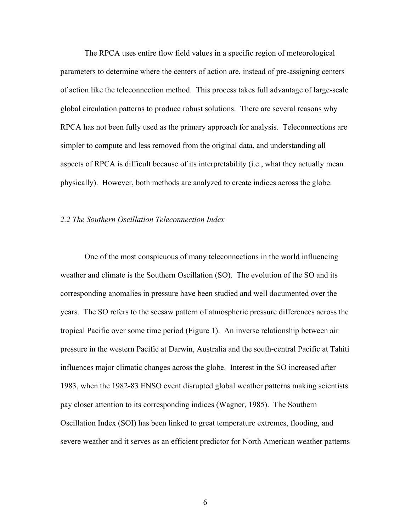The RPCA uses entire flow field values in a specific region of meteorological parameters to determine where the centers of action are, instead of pre-assigning centers of action like the teleconnection method. This process takes full advantage of large-scale global circulation patterns to produce robust solutions. There are several reasons why RPCA has not been fully used as the primary approach for analysis. Teleconnections are simpler to compute and less removed from the original data, and understanding all aspects of RPCA is difficult because of its interpretability (i.e., what they actually mean physically). However, both methods are analyzed to create indices across the globe.

### *2.2 The Southern Oscillation Teleconnection Index*

One of the most conspicuous of many teleconnections in the world influencing weather and climate is the Southern Oscillation (SO). The evolution of the SO and its corresponding anomalies in pressure have been studied and well documented over the years. The SO refers to the seesaw pattern of atmospheric pressure differences across the tropical Pacific over some time period (Figure 1). An inverse relationship between air pressure in the western Pacific at Darwin, Australia and the south-central Pacific at Tahiti influences major climatic changes across the globe. Interest in the SO increased after 1983, when the 1982-83 ENSO event disrupted global weather patterns making scientists pay closer attention to its corresponding indices (Wagner, 1985). The Southern Oscillation Index (SOI) has been linked to great temperature extremes, flooding, and severe weather and it serves as an efficient predictor for North American weather patterns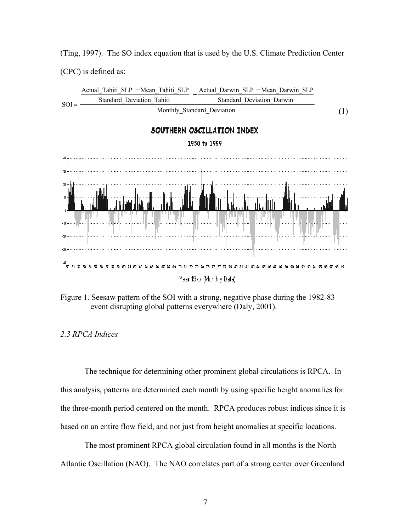(Ting, 1997). The SO index equation that is used by the U.S. Climate Prediction Center (CPC) is defined as:



Figure 1. Seesaw pattern of the SOI with a strong, negative phase during the 1982-83 event disrupting global patterns everywhere (Daly, 2001).

# *2.3 RPCA Indices*

The technique for determining other prominent global circulations is RPCA. In this analysis, patterns are determined each month by using specific height anomalies for the three-month period centered on the month. RPCA produces robust indices since it is based on an entire flow field, and not just from height anomalies at specific locations.

The most prominent RPCA global circulation found in all months is the North Atlantic Oscillation (NAO). The NAO correlates part of a strong center over Greenland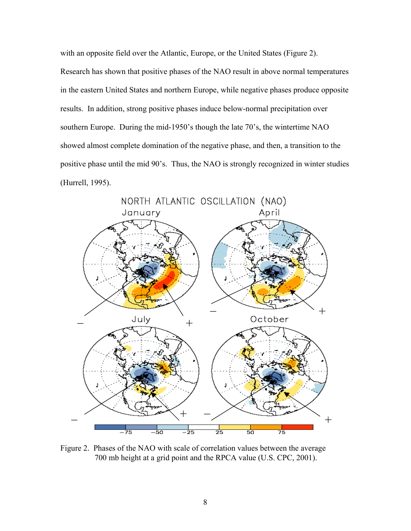with an opposite field over the Atlantic, Europe, or the United States (Figure 2). Research has shown that positive phases of the NAO result in above normal temperatures in the eastern United States and northern Europe, while negative phases produce opposite results. In addition, strong positive phases induce below-normal precipitation over southern Europe. During the mid-1950's though the late 70's, the wintertime NAO showed almost complete domination of the negative phase, and then, a transition to the positive phase until the mid 90's. Thus, the NAO is strongly recognized in winter studies (Hurrell, 1995).



Figure 2. Phases of the NAO with scale of correlation values between the average 700 mb height at a grid point and the RPCA value (U.S. CPC, 2001).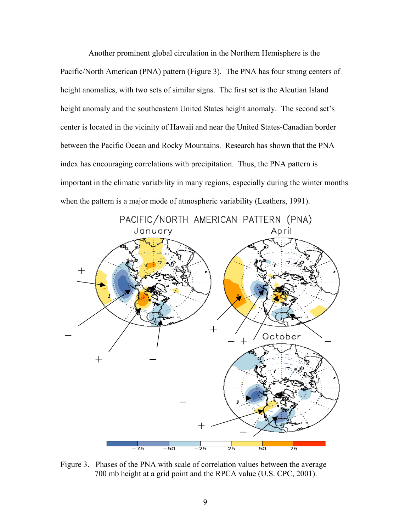Another prominent global circulation in the Northern Hemisphere is the Pacific/North American (PNA) pattern (Figure 3). The PNA has four strong centers of height anomalies, with two sets of similar signs. The first set is the Aleutian Island height anomaly and the southeastern United States height anomaly. The second set's center is located in the vicinity of Hawaii and near the United States-Canadian border between the Pacific Ocean and Rocky Mountains. Research has shown that the PNA index has encouraging correlations with precipitation. Thus, the PNA pattern is important in the climatic variability in many regions, especially during the winter months when the pattern is a major mode of atmospheric variability (Leathers, 1991).



Figure 3. Phases of the PNA with scale of correlation values between the average 700 mb height at a grid point and the RPCA value (U.S. CPC, 2001).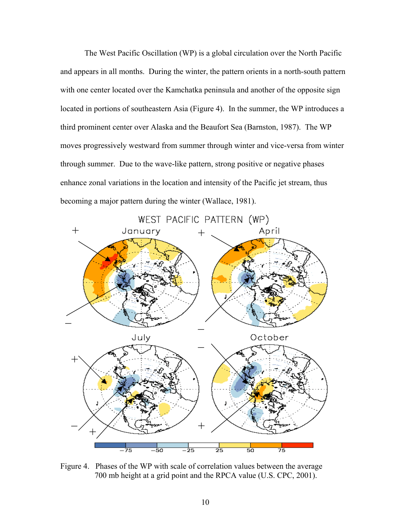The West Pacific Oscillation (WP) is a global circulation over the North Pacific and appears in all months. During the winter, the pattern orients in a north-south pattern with one center located over the Kamchatka peninsula and another of the opposite sign located in portions of southeastern Asia (Figure 4). In the summer, the WP introduces a third prominent center over Alaska and the Beaufort Sea (Barnston, 1987). The WP moves progressively westward from summer through winter and vice-versa from winter through summer. Due to the wave-like pattern, strong positive or negative phases enhance zonal variations in the location and intensity of the Pacific jet stream, thus becoming a major pattern during the winter (Wallace, 1981).



Figure 4. Phases of the WP with scale of correlation values between the average 700 mb height at a grid point and the RPCA value (U.S. CPC, 2001).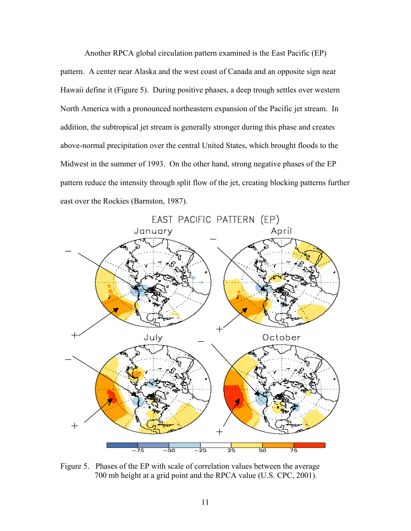Another RPCA global circulation pattern examined is the East Pacific (EP) pattern. A center near Alaska and the west coast of Canada and an opposite sign near Hawaii define it (Figure 5). During positive phases, a deep trough settles over western North America with a pronounced northeastern expansion of the Pacific jet stream. In addition, the subtropical jet stream is generally stronger during this phase and creates above-normal precipitation over the central United States, which brought floods to the Midwest in the summer of 1993. On the other hand, strong negative phases of the EP pattern reduce the intensity through split flow of the jet, creating blocking patterns further east over the Rockies (Barnston, 1987).



Figure 5. Phases of the EP with scale of correlation values between the average 700 mb height at a grid point and the RPCA value (U.S. CPC, 2001).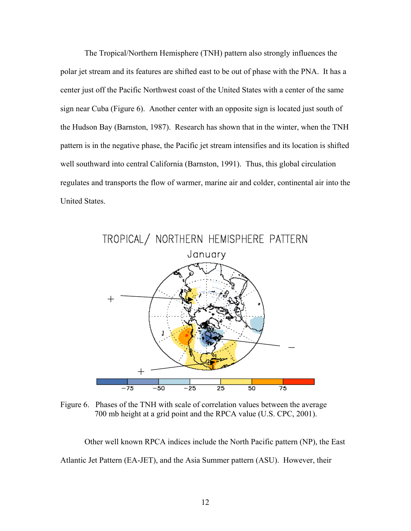The Tropical/Northern Hemisphere (TNH) pattern also strongly influences the polar jet stream and its features are shifted east to be out of phase with the PNA. It has a center just off the Pacific Northwest coast of the United States with a center of the same sign near Cuba (Figure 6). Another center with an opposite sign is located just south of the Hudson Bay (Barnston, 1987). Research has shown that in the winter, when the TNH pattern is in the negative phase, the Pacific jet stream intensifies and its location is shifted well southward into central California (Barnston, 1991). Thus, this global circulation regulates and transports the flow of warmer, marine air and colder, continental air into the United States.



Figure 6. Phases of the TNH with scale of correlation values between the average 700 mb height at a grid point and the RPCA value (U.S. CPC, 2001).

Other well known RPCA indices include the North Pacific pattern (NP), the East Atlantic Jet Pattern (EA-JET), and the Asia Summer pattern (ASU). However, their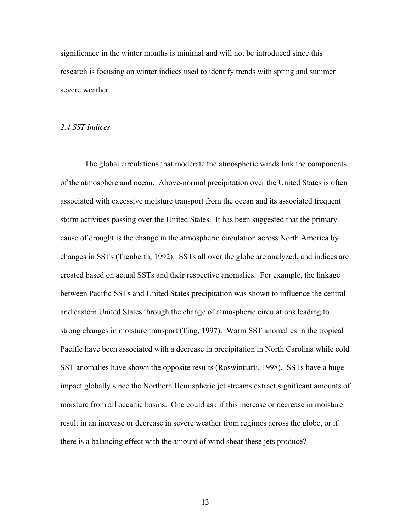significance in the winter months is minimal and will not be introduced since this research is focusing on winter indices used to identify trends with spring and summer severe weather.

# *2.4 SST Indices*

The global circulations that moderate the atmospheric winds link the components of the atmosphere and ocean. Above-normal precipitation over the United States is often associated with excessive moisture transport from the ocean and its associated frequent storm activities passing over the United States. It has been suggested that the primary cause of drought is the change in the atmospheric circulation across North America by changes in SSTs (Trenberth, 1992). SSTs all over the globe are analyzed, and indices are created based on actual SSTs and their respective anomalies. For example, the linkage between Pacific SSTs and United States precipitation was shown to influence the central and eastern United States through the change of atmospheric circulations leading to strong changes in moisture transport (Ting, 1997). Warm SST anomalies in the tropical Pacific have been associated with a decrease in precipitation in North Carolina while cold SST anomalies have shown the opposite results (Roswintiarti, 1998). SSTs have a huge impact globally since the Northern Hemispheric jet streams extract significant amounts of moisture from all oceanic basins. One could ask if this increase or decrease in moisture result in an increase or decrease in severe weather from regimes across the globe, or if there is a balancing effect with the amount of wind shear these jets produce?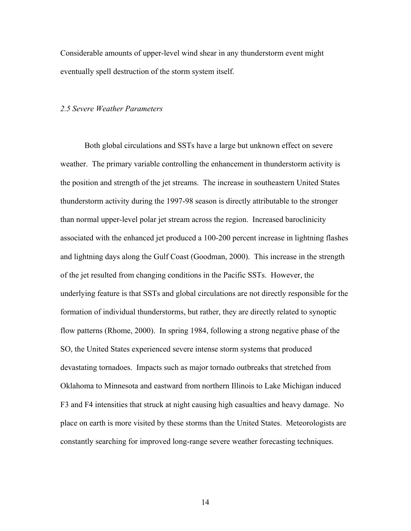Considerable amounts of upper-level wind shear in any thunderstorm event might eventually spell destruction of the storm system itself.

#### *2.5 Severe Weather Parameters*

Both global circulations and SSTs have a large but unknown effect on severe weather. The primary variable controlling the enhancement in thunderstorm activity is the position and strength of the jet streams. The increase in southeastern United States thunderstorm activity during the 1997-98 season is directly attributable to the stronger than normal upper-level polar jet stream across the region. Increased baroclinicity associated with the enhanced jet produced a 100-200 percent increase in lightning flashes and lightning days along the Gulf Coast (Goodman, 2000). This increase in the strength of the jet resulted from changing conditions in the Pacific SSTs. However, the underlying feature is that SSTs and global circulations are not directly responsible for the formation of individual thunderstorms, but rather, they are directly related to synoptic flow patterns (Rhome, 2000). In spring 1984, following a strong negative phase of the SO, the United States experienced severe intense storm systems that produced devastating tornadoes. Impacts such as major tornado outbreaks that stretched from Oklahoma to Minnesota and eastward from northern Illinois to Lake Michigan induced F3 and F4 intensities that struck at night causing high casualties and heavy damage. No place on earth is more visited by these storms than the United States. Meteorologists are constantly searching for improved long-range severe weather forecasting techniques.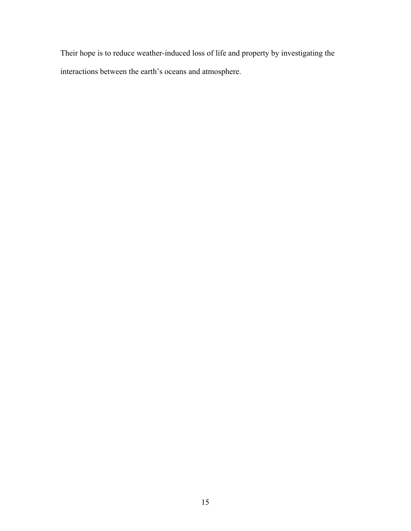Their hope is to reduce weather-induced loss of life and property by investigating the interactions between the earth's oceans and atmosphere.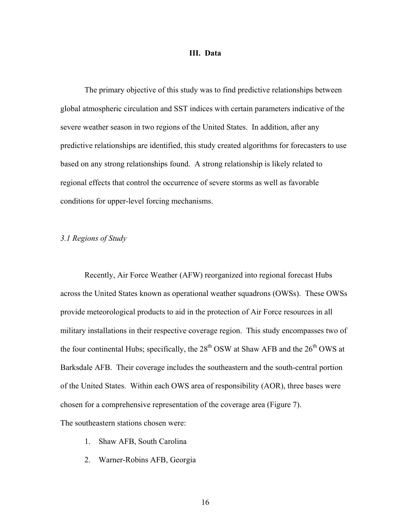### **III. Data**

The primary objective of this study was to find predictive relationships between global atmospheric circulation and SST indices with certain parameters indicative of the severe weather season in two regions of the United States. In addition, after any predictive relationships are identified, this study created algorithms for forecasters to use based on any strong relationships found. A strong relationship is likely related to regional effects that control the occurrence of severe storms as well as favorable conditions for upper-level forcing mechanisms.

# *3.1 Regions of Study*

Recently, Air Force Weather (AFW) reorganized into regional forecast Hubs across the United States known as operational weather squadrons (OWSs). These OWSs provide meteorological products to aid in the protection of Air Force resources in all military installations in their respective coverage region. This study encompasses two of the four continental Hubs; specifically, the  $28<sup>th</sup>$  OSW at Shaw AFB and the  $26<sup>th</sup>$  OWS at Barksdale AFB. Their coverage includes the southeastern and the south-central portion of the United States. Within each OWS area of responsibility (AOR), three bases were chosen for a comprehensive representation of the coverage area (Figure 7).

The southeastern stations chosen were:

- 1. Shaw AFB, South Carolina
- 2. Warner-Robins AFB, Georgia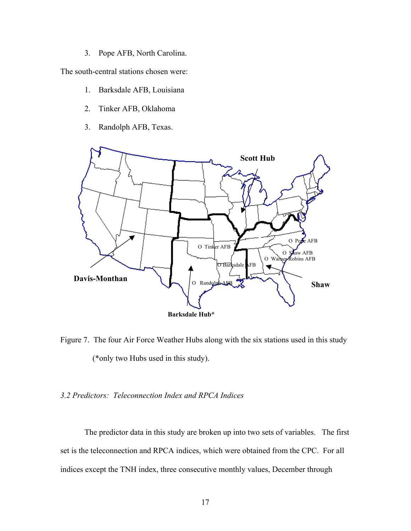3. Pope AFB, North Carolina.

The south-central stations chosen were:

- 1. Barksdale AFB, Louisiana
- 2. Tinker AFB, Oklahoma
- 3. Randolph AFB, Texas.



Figure 7. The four Air Force Weather Hubs along with the six stations used in this study (\*only two Hubs used in this study).

# *3.2 Predictors: Teleconnection Index and RPCA Indices*

The predictor data in this study are broken up into two sets of variables. The first set is the teleconnection and RPCA indices, which were obtained from the CPC. For all indices except the TNH index, three consecutive monthly values, December through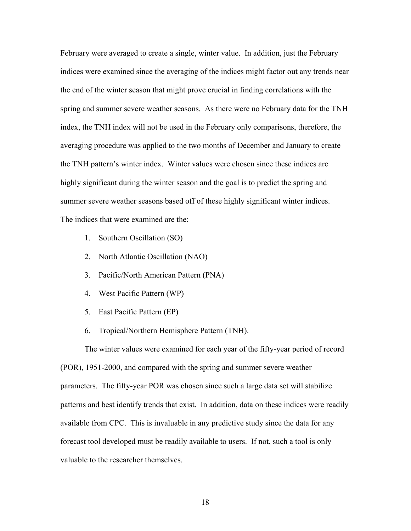February were averaged to create a single, winter value. In addition, just the February indices were examined since the averaging of the indices might factor out any trends near the end of the winter season that might prove crucial in finding correlations with the spring and summer severe weather seasons. As there were no February data for the TNH index, the TNH index will not be used in the February only comparisons, therefore, the averaging procedure was applied to the two months of December and January to create the TNH pattern's winter index. Winter values were chosen since these indices are highly significant during the winter season and the goal is to predict the spring and summer severe weather seasons based off of these highly significant winter indices. The indices that were examined are the:

- 1. Southern Oscillation (SO)
- 2. North Atlantic Oscillation (NAO)
- 3. Pacific/North American Pattern (PNA)
- 4. West Pacific Pattern (WP)
- 5. East Pacific Pattern (EP)
- 6. Tropical/Northern Hemisphere Pattern (TNH).

The winter values were examined for each year of the fifty-year period of record (POR), 1951-2000, and compared with the spring and summer severe weather parameters. The fifty-year POR was chosen since such a large data set will stabilize patterns and best identify trends that exist. In addition, data on these indices were readily available from CPC. This is invaluable in any predictive study since the data for any forecast tool developed must be readily available to users. If not, such a tool is only valuable to the researcher themselves.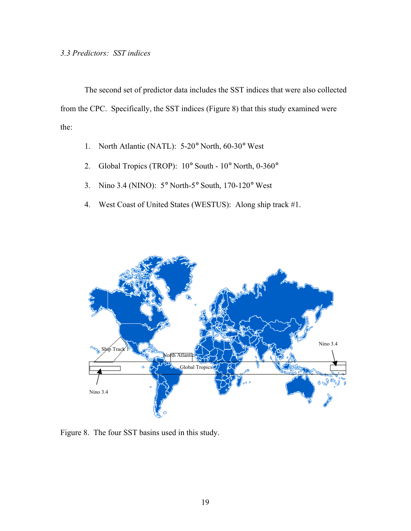The second set of predictor data includes the SST indices that were also collected from the CPC. Specifically, the SST indices (Figure 8) that this study examined were the:

- 1. North Atlantic (NATL): 5-20° North, 60-30° West
- 2. Global Tropics (TROP): 10° South 10° North, 0-360°
- 3. Nino 3.4 (NINO): 5° North-5° South, 170-120° West
- 4. West Coast of United States (WESTUS): Along ship track #1.



Figure 8. The four SST basins used in this study.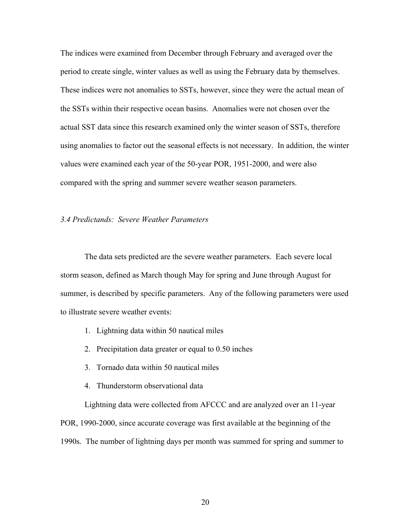The indices were examined from December through February and averaged over the period to create single, winter values as well as using the February data by themselves. These indices were not anomalies to SSTs, however, since they were the actual mean of the SSTs within their respective ocean basins. Anomalies were not chosen over the actual SST data since this research examined only the winter season of SSTs, therefore using anomalies to factor out the seasonal effects is not necessary. In addition, the winter values were examined each year of the 50-year POR, 1951-2000, and were also compared with the spring and summer severe weather season parameters.

# *3.4 Predictands: Severe Weather Parameters*

The data sets predicted are the severe weather parameters. Each severe local storm season, defined as March though May for spring and June through August for summer, is described by specific parameters. Any of the following parameters were used to illustrate severe weather events:

- 1. Lightning data within 50 nautical miles
- 2. Precipitation data greater or equal to 0.50 inches
- 3. Tornado data within 50 nautical miles
- 4. Thunderstorm observational data

Lightning data were collected from AFCCC and are analyzed over an 11-year POR, 1990-2000, since accurate coverage was first available at the beginning of the 1990s. The number of lightning days per month was summed for spring and summer to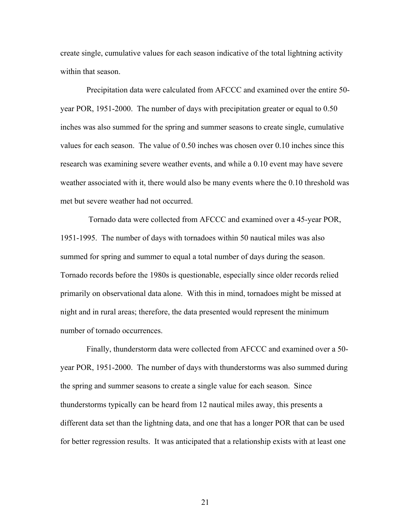create single, cumulative values for each season indicative of the total lightning activity within that season.

 Precipitation data were calculated from AFCCC and examined over the entire 50 year POR, 1951-2000. The number of days with precipitation greater or equal to 0.50 inches was also summed for the spring and summer seasons to create single, cumulative values for each season. The value of 0.50 inches was chosen over 0.10 inches since this research was examining severe weather events, and while a 0.10 event may have severe weather associated with it, there would also be many events where the 0.10 threshold was met but severe weather had not occurred.

 Tornado data were collected from AFCCC and examined over a 45-year POR, 1951-1995. The number of days with tornadoes within 50 nautical miles was also summed for spring and summer to equal a total number of days during the season. Tornado records before the 1980s is questionable, especially since older records relied primarily on observational data alone. With this in mind, tornadoes might be missed at night and in rural areas; therefore, the data presented would represent the minimum number of tornado occurrences.

 Finally, thunderstorm data were collected from AFCCC and examined over a 50 year POR, 1951-2000. The number of days with thunderstorms was also summed during the spring and summer seasons to create a single value for each season. Since thunderstorms typically can be heard from 12 nautical miles away, this presents a different data set than the lightning data, and one that has a longer POR that can be used for better regression results. It was anticipated that a relationship exists with at least one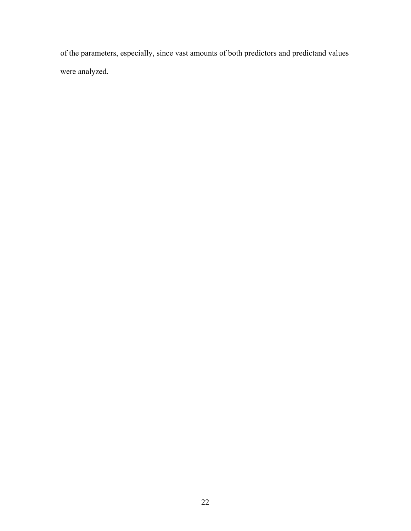of the parameters, especially, since vast amounts of both predictors and predictand values were analyzed.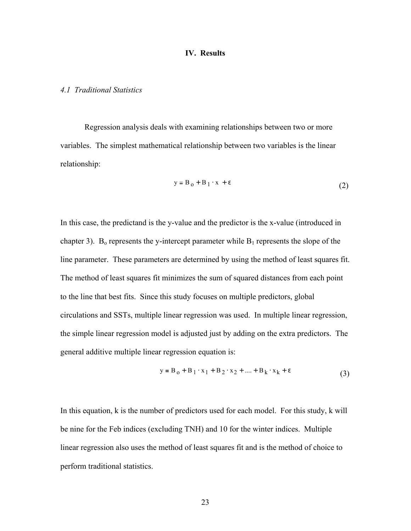## **IV. Results**

# *4.1 Traditional Statistics*

Regression analysis deals with examining relationships between two or more variables. The simplest mathematical relationship between two variables is the linear relationship:

$$
y = B_0 + B_1 \cdot x + \varepsilon
$$
 (2)

In this case, the predictand is the y-value and the predictor is the x-value (introduced in chapter 3). B<sub>o</sub> represents the y-intercept parameter while  $B_1$  represents the slope of the line parameter. These parameters are determined by using the method of least squares fit. The method of least squares fit minimizes the sum of squared distances from each point to the line that best fits. Since this study focuses on multiple predictors, global circulations and SSTs, multiple linear regression was used. In multiple linear regression, the simple linear regression model is adjusted just by adding on the extra predictors. The general additive multiple linear regression equation is:

$$
y = B_0 + B_1 \cdot x_1 + B_2 \cdot x_2 + \dots + B_k \cdot x_k + \varepsilon
$$
 (3)

In this equation, k is the number of predictors used for each model. For this study, k will be nine for the Feb indices (excluding TNH) and 10 for the winter indices. Multiple linear regression also uses the method of least squares fit and is the method of choice to perform traditional statistics.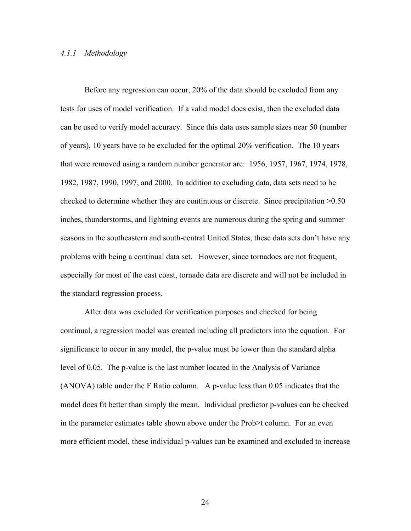## *4.1.1 Methodology*

Before any regression can occur, 20% of the data should be excluded from any tests for uses of model verification. If a valid model does exist, then the excluded data can be used to verify model accuracy. Since this data uses sample sizes near 50 (number of years), 10 years have to be excluded for the optimal 20% verification. The 10 years that were removed using a random number generator are: 1956, 1957, 1967, 1974, 1978, 1982, 1987, 1990, 1997, and 2000. In addition to excluding data, data sets need to be checked to determine whether they are continuous or discrete. Since precipitation >0.50 inches, thunderstorms, and lightning events are numerous during the spring and summer seasons in the southeastern and south-central United States, these data sets don't have any problems with being a continual data set. However, since tornadoes are not frequent, especially for most of the east coast, tornado data are discrete and will not be included in the standard regression process.

After data was excluded for verification purposes and checked for being continual, a regression model was created including all predictors into the equation. For significance to occur in any model, the p-value must be lower than the standard alpha level of 0.05. The p-value is the last number located in the Analysis of Variance (ANOVA) table under the F Ratio column. A p-value less than 0.05 indicates that the model does fit better than simply the mean. Individual predictor p-values can be checked in the parameter estimates table shown above under the Prob>t column. For an even more efficient model, these individual p-values can be examined and excluded to increase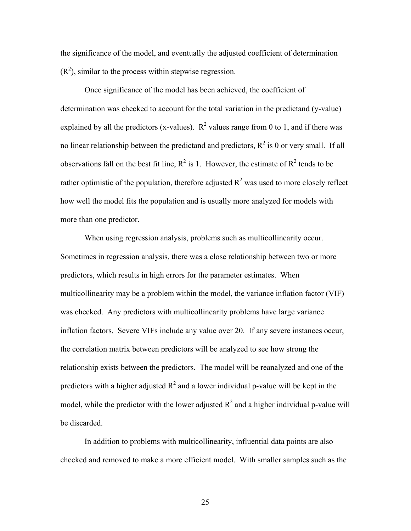the significance of the model, and eventually the adjusted coefficient of determination  $(R<sup>2</sup>)$ , similar to the process within stepwise regression.

Once significance of the model has been achieved, the coefficient of determination was checked to account for the total variation in the predictand (y-value) explained by all the predictors (x-values).  $R^2$  values range from 0 to 1, and if there was no linear relationship between the predictand and predictors,  $R^2$  is 0 or very small. If all observations fall on the best fit line,  $R^2$  is 1. However, the estimate of  $R^2$  tends to be rather optimistic of the population, therefore adjusted  $R^2$  was used to more closely reflect how well the model fits the population and is usually more analyzed for models with more than one predictor.

When using regression analysis, problems such as multicollinearity occur. Sometimes in regression analysis, there was a close relationship between two or more predictors, which results in high errors for the parameter estimates. When multicollinearity may be a problem within the model, the variance inflation factor (VIF) was checked. Any predictors with multicollinearity problems have large variance inflation factors. Severe VIFs include any value over 20. If any severe instances occur, the correlation matrix between predictors will be analyzed to see how strong the relationship exists between the predictors. The model will be reanalyzed and one of the predictors with a higher adjusted  $R^2$  and a lower individual p-value will be kept in the model, while the predictor with the lower adjusted  $R^2$  and a higher individual p-value will be discarded.

In addition to problems with multicollinearity, influential data points are also checked and removed to make a more efficient model. With smaller samples such as the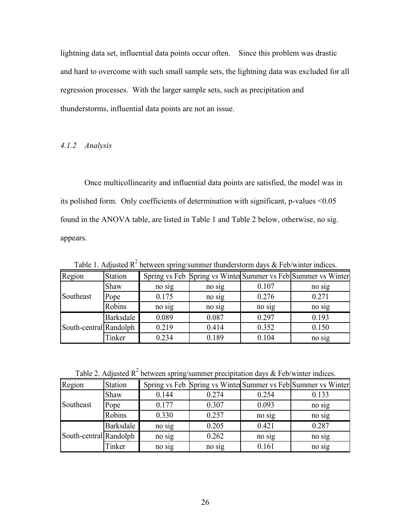lightning data set, influential data points occur often. Since this problem was drastic and hard to overcome with such small sample sets, the lightning data was excluded for all regression processes. With the larger sample sets, such as precipitation and thunderstorms, influential data points are not an issue.

## *4.1.2 Analysis*

Once multicollinearity and influential data points are satisfied, the model was in its polished form. Only coefficients of determination with significant, p-values <0.05 found in the ANOVA table, are listed in Table 1 and Table 2 below, otherwise, no sig. appears.

no sig South-central Randolph | 0.219 | 0.414 | 0.352 | 0.150 Region Station Spring vs Feb Spring vs Winter Summer vs Feb Summer vs Winter Shaw no sig no sig 0.107 no sig Pope 0.175 no sig 0.276 0.271 Robins no sig no sig no sig no sig no sig Barksdale 0.089 0.087 0.297 0.193 Tinker | 0.234 | 0.189 | 0.104 | no sig Southeast

Table 1. Adjusted  $R^2$  between spring/summer thunderstorm days & Feb/winter indices.

Table 2. Adjusted  $R^2$  between spring/summer precipitation days & Feb/winter indices.

| Region                 | <b>Station</b> |        |        |        | Spring vs Feb Spring vs Winter Summer vs Feb Summer vs Winter |
|------------------------|----------------|--------|--------|--------|---------------------------------------------------------------|
|                        | Shaw           | 0.144  | 0.274  | 0.254  | 0.133                                                         |
| Southeast              | Pope           | 0.177  | 0.307  | 0.093  | no sig                                                        |
|                        | Robins         | 0.330  | 0.257  | no sig | no sig                                                        |
|                        | Barksdale      | no sig | 0.205  | 0.421  | 0.287                                                         |
| South-central Randolph |                | no sig | 0.262  | no sig | no sig                                                        |
|                        | Tinker         | no sig | no sig | 0.161  | no sig                                                        |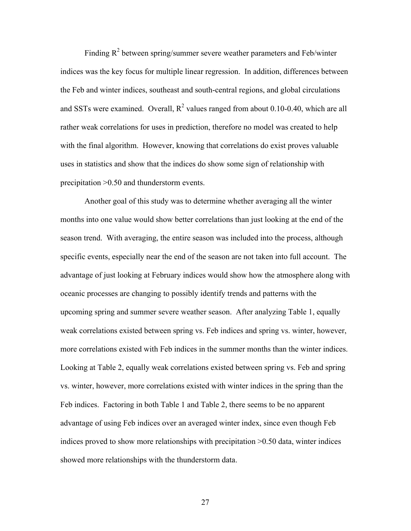Finding  $R^2$  between spring/summer severe weather parameters and Feb/winter indices was the key focus for multiple linear regression. In addition, differences between the Feb and winter indices, southeast and south-central regions, and global circulations and SSTs were examined. Overall,  $R^2$  values ranged from about 0.10-0.40, which are all rather weak correlations for uses in prediction, therefore no model was created to help with the final algorithm. However, knowing that correlations do exist proves valuable uses in statistics and show that the indices do show some sign of relationship with precipitation >0.50 and thunderstorm events.

Another goal of this study was to determine whether averaging all the winter months into one value would show better correlations than just looking at the end of the season trend. With averaging, the entire season was included into the process, although specific events, especially near the end of the season are not taken into full account. The advantage of just looking at February indices would show how the atmosphere along with oceanic processes are changing to possibly identify trends and patterns with the upcoming spring and summer severe weather season. After analyzing Table 1, equally weak correlations existed between spring vs. Feb indices and spring vs. winter, however, more correlations existed with Feb indices in the summer months than the winter indices. Looking at Table 2, equally weak correlations existed between spring vs. Feb and spring vs. winter, however, more correlations existed with winter indices in the spring than the Feb indices. Factoring in both Table 1 and Table 2, there seems to be no apparent advantage of using Feb indices over an averaged winter index, since even though Feb indices proved to show more relationships with precipitation >0.50 data, winter indices showed more relationships with the thunderstorm data.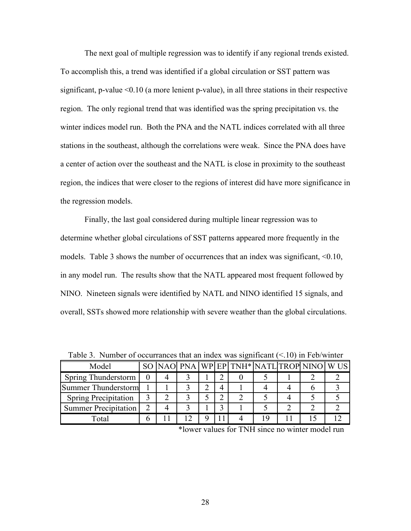The next goal of multiple regression was to identify if any regional trends existed. To accomplish this, a trend was identified if a global circulation or SST pattern was significant, p-value <0.10 (a more lenient p-value), in all three stations in their respective region. The only regional trend that was identified was the spring precipitation vs. the winter indices model run. Both the PNA and the NATL indices correlated with all three stations in the southeast, although the correlations were weak. Since the PNA does have a center of action over the southeast and the NATL is close in proximity to the southeast region, the indices that were closer to the regions of interest did have more significance in the regression models.

Finally, the last goal considered during multiple linear regression was to determine whether global circulations of SST patterns appeared more frequently in the models. Table 3 shows the number of occurrences that an index was significant, <0.10, in any model run. The results show that the NATL appeared most frequent followed by NINO. Nineteen signals were identified by NATL and NINO identified 15 signals, and overall, SSTs showed more relationship with severe weather than the global circulations.

| Model                       |   |  |  | SO NAO PNA WP EP TNH* NATL TROP NINO WUS |  |  |
|-----------------------------|---|--|--|------------------------------------------|--|--|
| Spring Thunderstorm         |   |  |  |                                          |  |  |
| Summer Thunderstorm         |   |  |  |                                          |  |  |
| <b>Spring Precipitation</b> |   |  |  |                                          |  |  |
| Summer Precipitation        |   |  |  |                                          |  |  |
| Total                       | n |  |  |                                          |  |  |

Table 3. Number of occurrances that an index was significant  $(< 10$ ) in Feb/winter

\*lower values for TNH since no winter model run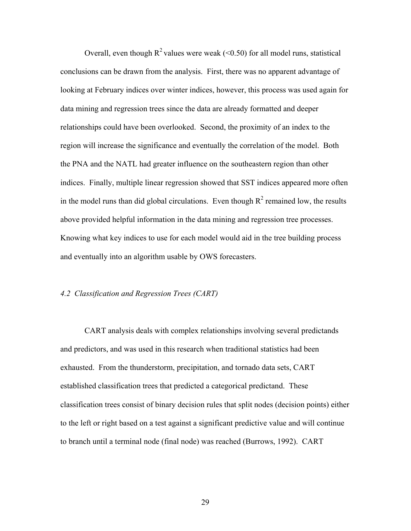Overall, even though  $R^2$  values were weak (<0.50) for all model runs, statistical conclusions can be drawn from the analysis. First, there was no apparent advantage of looking at February indices over winter indices, however, this process was used again for data mining and regression trees since the data are already formatted and deeper relationships could have been overlooked. Second, the proximity of an index to the region will increase the significance and eventually the correlation of the model. Both the PNA and the NATL had greater influence on the southeastern region than other indices. Finally, multiple linear regression showed that SST indices appeared more often in the model runs than did global circulations. Even though  $R^2$  remained low, the results above provided helpful information in the data mining and regression tree processes. Knowing what key indices to use for each model would aid in the tree building process and eventually into an algorithm usable by OWS forecasters.

# *4.2 Classification and Regression Trees (CART)*

CART analysis deals with complex relationships involving several predictands and predictors, and was used in this research when traditional statistics had been exhausted. From the thunderstorm, precipitation, and tornado data sets, CART established classification trees that predicted a categorical predictand. These classification trees consist of binary decision rules that split nodes (decision points) either to the left or right based on a test against a significant predictive value and will continue to branch until a terminal node (final node) was reached (Burrows, 1992). CART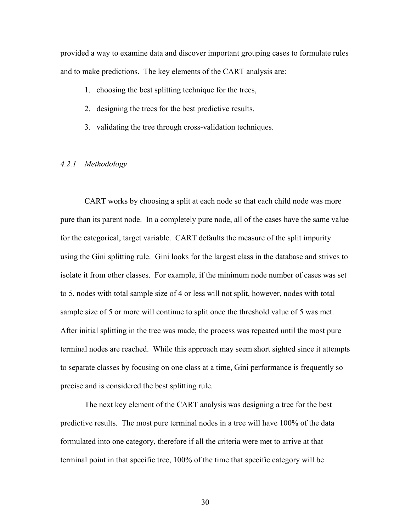provided a way to examine data and discover important grouping cases to formulate rules and to make predictions. The key elements of the CART analysis are:

- 1. choosing the best splitting technique for the trees,
- 2. designing the trees for the best predictive results,
- 3. validating the tree through cross-validation techniques.

# *4.2.1 Methodology*

CART works by choosing a split at each node so that each child node was more pure than its parent node. In a completely pure node, all of the cases have the same value for the categorical, target variable. CART defaults the measure of the split impurity using the Gini splitting rule. Gini looks for the largest class in the database and strives to isolate it from other classes. For example, if the minimum node number of cases was set to 5, nodes with total sample size of 4 or less will not split, however, nodes with total sample size of 5 or more will continue to split once the threshold value of 5 was met. After initial splitting in the tree was made, the process was repeated until the most pure terminal nodes are reached. While this approach may seem short sighted since it attempts to separate classes by focusing on one class at a time, Gini performance is frequently so precise and is considered the best splitting rule.

The next key element of the CART analysis was designing a tree for the best predictive results. The most pure terminal nodes in a tree will have 100% of the data formulated into one category, therefore if all the criteria were met to arrive at that terminal point in that specific tree, 100% of the time that specific category will be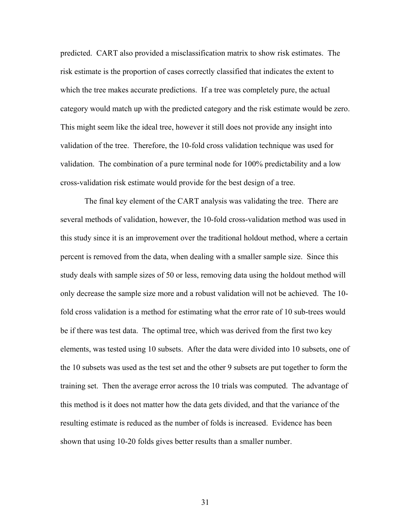predicted. CART also provided a misclassification matrix to show risk estimates. The risk estimate is the proportion of cases correctly classified that indicates the extent to which the tree makes accurate predictions. If a tree was completely pure, the actual category would match up with the predicted category and the risk estimate would be zero. This might seem like the ideal tree, however it still does not provide any insight into validation of the tree. Therefore, the 10-fold cross validation technique was used for validation. The combination of a pure terminal node for 100% predictability and a low cross-validation risk estimate would provide for the best design of a tree.

The final key element of the CART analysis was validating the tree. There are several methods of validation, however, the 10-fold cross-validation method was used in this study since it is an improvement over the traditional holdout method, where a certain percent is removed from the data, when dealing with a smaller sample size. Since this study deals with sample sizes of 50 or less, removing data using the holdout method will only decrease the sample size more and a robust validation will not be achieved. The 10 fold cross validation is a method for estimating what the error rate of 10 sub-trees would be if there was test data. The optimal tree, which was derived from the first two key elements, was tested using 10 subsets. After the data were divided into 10 subsets, one of the 10 subsets was used as the test set and the other 9 subsets are put together to form the training set. Then the average error across the 10 trials was computed. The advantage of this method is it does not matter how the data gets divided, and that the variance of the resulting estimate is reduced as the number of folds is increased. Evidence has been shown that using 10-20 folds gives better results than a smaller number.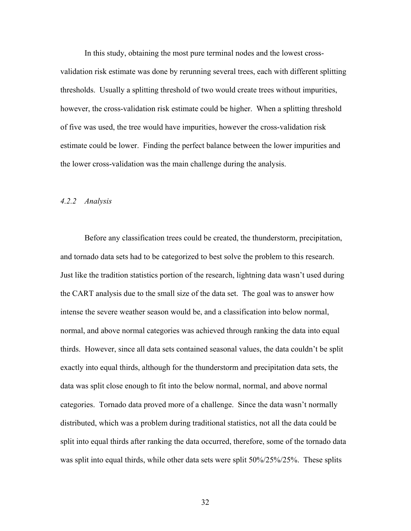In this study, obtaining the most pure terminal nodes and the lowest crossvalidation risk estimate was done by rerunning several trees, each with different splitting thresholds. Usually a splitting threshold of two would create trees without impurities, however, the cross-validation risk estimate could be higher. When a splitting threshold of five was used, the tree would have impurities, however the cross-validation risk estimate could be lower. Finding the perfect balance between the lower impurities and the lower cross-validation was the main challenge during the analysis.

#### *4.2.2 Analysis*

Before any classification trees could be created, the thunderstorm, precipitation, and tornado data sets had to be categorized to best solve the problem to this research. Just like the tradition statistics portion of the research, lightning data wasn't used during the CART analysis due to the small size of the data set. The goal was to answer how intense the severe weather season would be, and a classification into below normal, normal, and above normal categories was achieved through ranking the data into equal thirds. However, since all data sets contained seasonal values, the data couldn't be split exactly into equal thirds, although for the thunderstorm and precipitation data sets, the data was split close enough to fit into the below normal, normal, and above normal categories. Tornado data proved more of a challenge. Since the data wasn't normally distributed, which was a problem during traditional statistics, not all the data could be split into equal thirds after ranking the data occurred, therefore, some of the tornado data was split into equal thirds, while other data sets were split 50%/25%/25%. These splits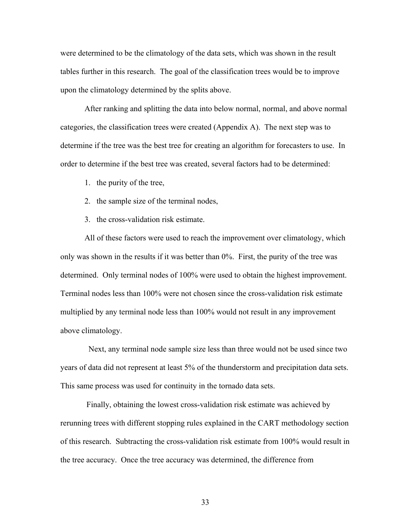were determined to be the climatology of the data sets, which was shown in the result tables further in this research. The goal of the classification trees would be to improve upon the climatology determined by the splits above.

After ranking and splitting the data into below normal, normal, and above normal categories, the classification trees were created (Appendix A). The next step was to determine if the tree was the best tree for creating an algorithm for forecasters to use. In order to determine if the best tree was created, several factors had to be determined:

- 1. the purity of the tree,
- 2. the sample size of the terminal nodes,
- 3. the cross-validation risk estimate.

All of these factors were used to reach the improvement over climatology, which only was shown in the results if it was better than 0%. First, the purity of the tree was determined. Only terminal nodes of 100% were used to obtain the highest improvement. Terminal nodes less than 100% were not chosen since the cross-validation risk estimate multiplied by any terminal node less than 100% would not result in any improvement above climatology.

 Next, any terminal node sample size less than three would not be used since two years of data did not represent at least 5% of the thunderstorm and precipitation data sets. This same process was used for continuity in the tornado data sets.

 Finally, obtaining the lowest cross-validation risk estimate was achieved by rerunning trees with different stopping rules explained in the CART methodology section of this research. Subtracting the cross-validation risk estimate from 100% would result in the tree accuracy. Once the tree accuracy was determined, the difference from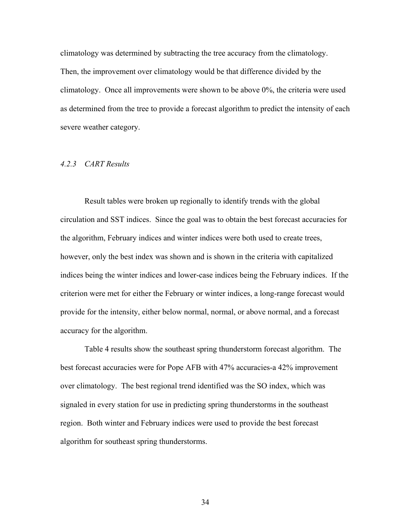climatology was determined by subtracting the tree accuracy from the climatology. Then, the improvement over climatology would be that difference divided by the climatology. Once all improvements were shown to be above 0%, the criteria were used as determined from the tree to provide a forecast algorithm to predict the intensity of each severe weather category.

#### *4.2.3 CART Results*

Result tables were broken up regionally to identify trends with the global circulation and SST indices. Since the goal was to obtain the best forecast accuracies for the algorithm, February indices and winter indices were both used to create trees, however, only the best index was shown and is shown in the criteria with capitalized indices being the winter indices and lower-case indices being the February indices. If the criterion were met for either the February or winter indices, a long-range forecast would provide for the intensity, either below normal, normal, or above normal, and a forecast accuracy for the algorithm.

Table 4 results show the southeast spring thunderstorm forecast algorithm. The best forecast accuracies were for Pope AFB with 47% accuracies-a 42% improvement over climatology. The best regional trend identified was the SO index, which was signaled in every station for use in predicting spring thunderstorms in the southeast region. Both winter and February indices were used to provide the best forecast algorithm for southeast spring thunderstorms.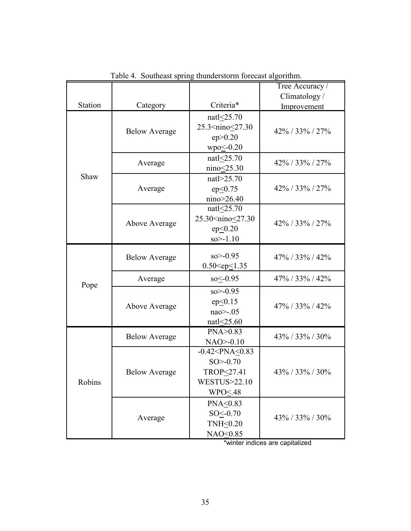|         |                      |                                                                                                                   | Tree Accuracy /    |
|---------|----------------------|-------------------------------------------------------------------------------------------------------------------|--------------------|
|         |                      |                                                                                                                   | Climatology/       |
| Station | Category             | Criteria*                                                                                                         | Improvement        |
|         | <b>Below Average</b> | natl<25.70<br>25.3 <nino<27.30<br>ep &gt; 0.20<br/><math>wpo \leq 0.20</math></nino<27.30<br>                     | 42% / 33% / 27%    |
|         | Average              | natl<25.70<br>nino<25.30                                                                                          | 42% / 33% / 27%    |
| Shaw    | Average              | natl>25.70<br>$ep \leq 0.75$<br>nino>26.40                                                                        | 42% / 33% / 27%    |
|         | Above Average        | nat $\leq$ 25.70<br>25.30 <nino<27.30<br><math>ep \leq 0.20</math><br/><math>so &gt; -1.10</math></nino<27.30<br> | 42% / 33% / 27%    |
|         | <b>Below Average</b> | $so > -0.95$<br>$0.50 < ep \le 1.35$                                                                              | $47\%$ / 33% / 42% |
|         | Average              | $so < -0.95$                                                                                                      | 47% / 33% / 42%    |
| Pope    | Above Average        | $so > -0.95$<br>ep<0.15<br>$nao$ $\ge -0.05$<br>natl<25.60                                                        | 47% / 33% / 42%    |
|         | <b>Below Average</b> | PNA>0.83<br>$NAO > -0.10$                                                                                         | 43% / 33% / 30%    |
| Robins  | <b>Below Average</b> | $-0.42 < PNA \le 0.83$<br>$SO > -0.70$<br>TROP<27.41<br>WESTUS>22.10<br>WPO < 48                                  | 43% / 33% / 30%    |
|         | Average              | PNA<0.83<br>$SO < -0.70$<br>TNH $\leq$ 0.20<br>NAO<0.85                                                           | 43% / 33% / 30%    |

Table 4. Southeast spring thunderstorm forecast algorithm.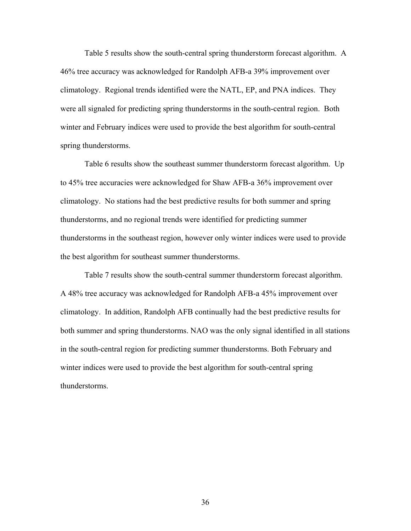Table 5 results show the south-central spring thunderstorm forecast algorithm. A 46% tree accuracy was acknowledged for Randolph AFB-a 39% improvement over climatology. Regional trends identified were the NATL, EP, and PNA indices. They were all signaled for predicting spring thunderstorms in the south-central region. Both winter and February indices were used to provide the best algorithm for south-central spring thunderstorms.

Table 6 results show the southeast summer thunderstorm forecast algorithm. Up to 45% tree accuracies were acknowledged for Shaw AFB-a 36% improvement over climatology. No stations had the best predictive results for both summer and spring thunderstorms, and no regional trends were identified for predicting summer thunderstorms in the southeast region, however only winter indices were used to provide the best algorithm for southeast summer thunderstorms.

Table 7 results show the south-central summer thunderstorm forecast algorithm. A 48% tree accuracy was acknowledged for Randolph AFB-a 45% improvement over climatology. In addition, Randolph AFB continually had the best predictive results for both summer and spring thunderstorms. NAO was the only signal identified in all stations in the south-central region for predicting summer thunderstorms. Both February and winter indices were used to provide the best algorithm for south-central spring thunderstorms.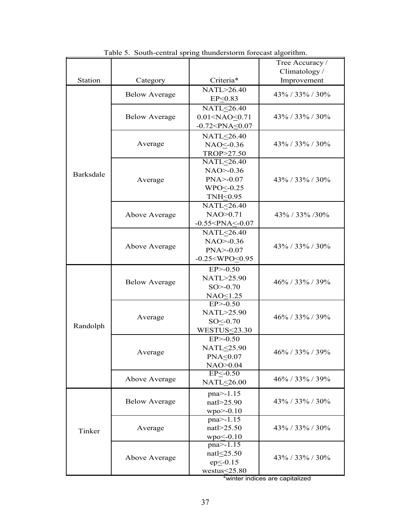|                  |                      |                          | Tree Accuracy /    |
|------------------|----------------------|--------------------------|--------------------|
|                  |                      |                          | Climatology/       |
| Station          | Category             | Criteria*                | Improvement        |
|                  | <b>Below Average</b> | NATL>26.40               | 43% / 33% / 30%    |
|                  |                      | EP<0.83                  |                    |
|                  |                      | NATL<26.40               |                    |
|                  | <b>Below Average</b> | 0.01 < NAO < 0.71        | $43\%$ / 33% / 30% |
|                  |                      | $-0.72 < PNA \le 0.07$   |                    |
|                  |                      | NATL<26.40               |                    |
|                  | Average              | NAO <- 0.36              | $43\%$ / 33% / 30% |
|                  |                      | TROP>27.50               |                    |
|                  |                      | NATL<26.40               |                    |
| <b>Barksdale</b> |                      | $NAO > -0.36$            |                    |
|                  | Average              | $PNA > -0.07$            | 43% / 33% / 30%    |
|                  |                      | $WPO < -0.25$            |                    |
|                  |                      | TNH<0.95                 |                    |
|                  |                      | NATL<26.40               |                    |
|                  | Above Average        | NAO>0.71                 | 43% / 33% / 30%    |
|                  |                      | $-0.55 < PNA \leq -0.07$ |                    |
|                  |                      | NATL<26.40               |                    |
|                  | Above Average        | $NAO > -0.36$            | 43% / 33% / 30%    |
|                  |                      | $PNA > -0.07$            |                    |
|                  |                      | $-0.25 < WPO < 0.95$     |                    |
|                  |                      | $EP$ > -0.50             |                    |
|                  | <b>Below Average</b> | NATL>25.90               | $46\%$ / 33% / 39% |
|                  |                      | $SO > -0.70$             |                    |
|                  |                      | NAO <sub>1.25</sub>      |                    |
|                  |                      | $EP > -0.50$             |                    |
|                  | Average              | NATL>25.90               | 46% / 33% / 39%    |
| Randolph         |                      | $SO < -0.70$             |                    |
|                  |                      | $WESTUS \leq 23.30$      |                    |
|                  |                      | $EP$ $> -0.50$           |                    |
|                  | Average              | NATL<25.90               | 46% / 33% / 39%    |
|                  |                      | $PNA \leq 0.07$          |                    |
|                  |                      | NAO>0.04                 |                    |
|                  | Above Average        | $EP < -0.50$             | 46% / 33% / 39%    |
|                  |                      | NATL<26.00               |                    |
|                  |                      | pna>-1.15                |                    |
|                  | <b>Below Average</b> | natl>25.90               | $43\%$ / 33% / 30% |
|                  |                      | $wpo$ > -0.10            |                    |
|                  |                      | $pna > -1.15$            |                    |
| Tinker           | Average              | natl>25.50               | 43% / 33% / 30%    |
|                  |                      | $wpo \leq 0.10$          |                    |
|                  |                      | $pna > -1.15$            |                    |
|                  | Above Average        | natl $\leq$ 25.50        | $43\%$ / 33% / 30% |
|                  |                      | $ep \le -0.15$           |                    |
|                  |                      | westus < 25.80           |                    |

Table 5. South-central spring thunderstorm forecast algorithm.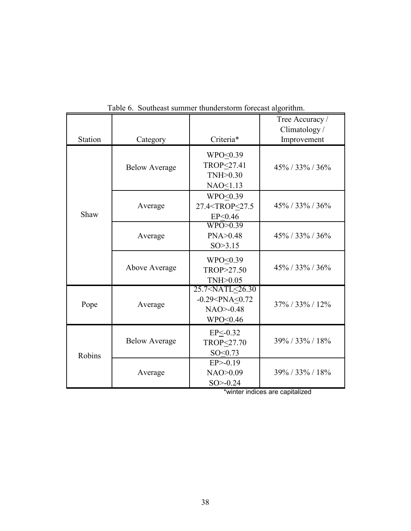|                |                      |                                                                          | Tree Accuracy /<br>Climatology/ |
|----------------|----------------------|--------------------------------------------------------------------------|---------------------------------|
| <b>Station</b> | Category             | Criteria*                                                                | Improvement                     |
|                | <b>Below Average</b> | $WPO \leq 0.39$<br>TROP<27.41<br>TNH > 0.30<br>NAO<1.13                  | $45\%$ / 33% / 36%              |
| Shaw           | Average              | WPO<0.39<br>27.4 <trop<27.5<br>EP&lt;0.46</trop<27.5<br>                 | $45\% / 33\% / 36\%$            |
|                | Average              | WPO>0.39<br>PNA > 0.48<br>SO > 3.15                                      | $45\%$ / 33% / 36%              |
|                | Above Average        | WPO<0.39<br>TROP>27.50<br>TNH > 0.05                                     | $45\%$ / 33% / 36%              |
| Pope           | Average              | 25.7 < NATL < 26.30<br>$-0.29 < PNA < 0.72$<br>$NAO > -0.48$<br>WPO<0.46 | $37\%$ / 33% / 12%              |
| Robins         | <b>Below Average</b> | $EP < -0.32$<br>TROP<27.70<br>SO < 0.73                                  | 39%/33%/18%                     |
|                | Average              | $EP$ $>$ -0.19<br>NAO > 0.09<br>$SO > -0.24$                             | 39% / 33% / 18%                 |

Table 6. Southeast summer thunderstorm forecast algorithm.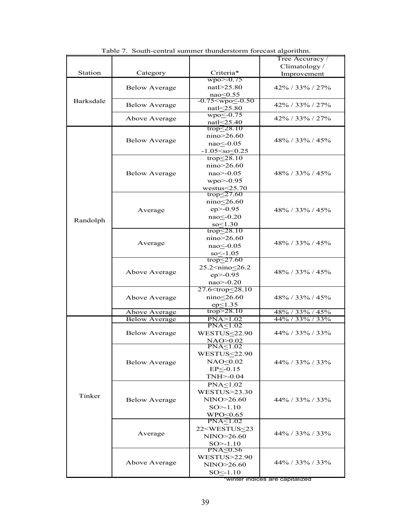|           |                      |                                                 | Tree Accuracy /      |  |
|-----------|----------------------|-------------------------------------------------|----------------------|--|
|           |                      |                                                 | Climatology/         |  |
| Station   | Category             | Criteria*                                       | Improvement          |  |
| Barksdale |                      | $wpo$ > -0.75                                   |                      |  |
|           | <b>Below Average</b> | natl>25.80                                      | 42% / 33% / 27%      |  |
|           |                      | $nao \le 0.55$                                  |                      |  |
|           | <b>Below Average</b> | $-0.75 \leq wpo \leq 0.50$                      | $42\%$ / 33\% / 27\% |  |
|           |                      | natl $\leq$ 25.80                               |                      |  |
|           | Above Average        | $wpo \leq -0.75$                                | 42% / 33% / 27%      |  |
|           |                      | natl $\leq$ 25.40                               |                      |  |
|           |                      | trop $\leq$ 28.10                               |                      |  |
|           | <b>Below Average</b> | nino>26.60                                      | 48% / 33% / 45%      |  |
|           |                      | $nao < -0.05$                                   |                      |  |
|           |                      | $-1.05 < so < 0.25$                             |                      |  |
|           |                      | trop $\leq$ 28.10                               |                      |  |
|           |                      | nino > 26.60                                    |                      |  |
|           | <b>Below Average</b> | $nao$ > -0.05                                   | 48% / 33% / 45%      |  |
|           |                      | $wpo$ > -0.95                                   |                      |  |
|           |                      | westus $\leq$ 25.70                             |                      |  |
|           |                      | trop $\leq$ 27.60                               |                      |  |
|           |                      | nino<26.60                                      |                      |  |
|           | Average              | $ep$ > -0.95                                    | 48% / 33% / 45%      |  |
| Randolph  |                      | nao<br><br><u>0.20</u>                          |                      |  |
|           |                      | $so \leq 1.30$                                  |                      |  |
|           |                      | $\text{trop}\leq 28.10$                         |                      |  |
|           |                      | nino > 26.60                                    |                      |  |
|           | Average              | nao < - 0.05                                    | $48\%$ / 33% / 45%   |  |
|           |                      | $so \le -1.05$                                  |                      |  |
|           |                      | trop $\leq$ 27.60                               |                      |  |
|           |                      | 25.2 <nino<26.2< td=""></nino<26.2<>            |                      |  |
|           | Above Average        | $ep > -0.95$                                    | 48% / 33% / 45%      |  |
|           |                      | nao>-0.20                                       |                      |  |
|           |                      | 27.6 <trop<28.10< td=""><td></td></trop<28.10<> |                      |  |
|           | Above Average        | $nino \leq 26.60$                               | 48% / 33% / 45%      |  |
|           |                      | $ep \leq 1.35$                                  |                      |  |
|           | Above Average        | $\text{trop}$ > 28.10                           | 48% / 33% / 45%      |  |
|           | <b>Below Average</b> | PNA > 1.02                                      | 44% / 33% / 33%      |  |
|           |                      | PNA<1.02                                        |                      |  |
|           | <b>Below Average</b> | WESTUS<22.90                                    | 44% / 33% / 33%      |  |
|           |                      | NAO>0.02                                        |                      |  |
|           |                      | PNA<1.02                                        |                      |  |
|           |                      | <b>WESTUS&lt;22.90</b>                          |                      |  |
|           | <b>Below Average</b> | $NAO \leq 0.02$                                 | 44% / 33% / 33%      |  |
|           |                      | $EP \le -0.15$                                  |                      |  |
|           |                      | TNH>-0.04                                       |                      |  |
|           |                      | PNA<1.02                                        |                      |  |
|           |                      | <b>WESTUS&gt;23.30</b>                          |                      |  |
| Tinker    | <b>Below Average</b> | NINO>26.60                                      | $44\%$ / 33% / 33%   |  |
|           |                      | $SO > -1.10$                                    |                      |  |
|           |                      | WPO<0.65                                        |                      |  |
|           |                      | $PNA \leq 1.02$                                 |                      |  |
|           |                      | 22 <westus<23< td=""><td></td></westus<23<>     |                      |  |
|           | Average              | NINO>26.60                                      | 44% / 33% / 33%      |  |
|           |                      | $SO > -1.10$                                    |                      |  |
|           |                      | PNA≤0.56                                        |                      |  |
|           |                      | <b>WESTUS&gt;22.90</b>                          |                      |  |
|           | Above Average        | NINO>26.60                                      | $44\%$ / 33% / 33%   |  |
|           |                      | SO<-1.10                                        |                      |  |
|           |                      |                                                 |                      |  |

Table 7. South-central summer thunderstorm forecast algorithm.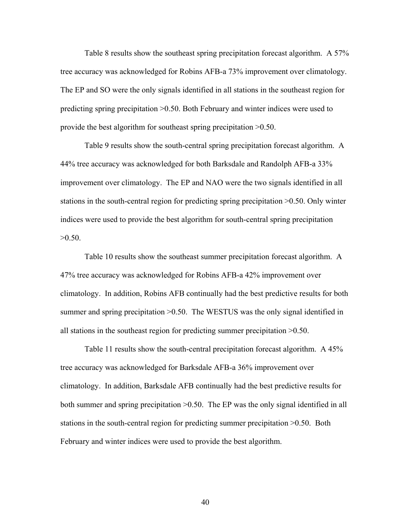Table 8 results show the southeast spring precipitation forecast algorithm. A 57% tree accuracy was acknowledged for Robins AFB-a 73% improvement over climatology. The EP and SO were the only signals identified in all stations in the southeast region for predicting spring precipitation >0.50. Both February and winter indices were used to provide the best algorithm for southeast spring precipitation >0.50.

Table 9 results show the south-central spring precipitation forecast algorithm. A 44% tree accuracy was acknowledged for both Barksdale and Randolph AFB-a 33% improvement over climatology. The EP and NAO were the two signals identified in all stations in the south-central region for predicting spring precipitation >0.50. Only winter indices were used to provide the best algorithm for south-central spring precipitation  $>0.50$ .

Table 10 results show the southeast summer precipitation forecast algorithm. A 47% tree accuracy was acknowledged for Robins AFB-a 42% improvement over climatology. In addition, Robins AFB continually had the best predictive results for both summer and spring precipitation  $>0.50$ . The WESTUS was the only signal identified in all stations in the southeast region for predicting summer precipitation >0.50.

Table 11 results show the south-central precipitation forecast algorithm. A 45% tree accuracy was acknowledged for Barksdale AFB-a 36% improvement over climatology. In addition, Barksdale AFB continually had the best predictive results for both summer and spring precipitation >0.50. The EP was the only signal identified in all stations in the south-central region for predicting summer precipitation >0.50. Both February and winter indices were used to provide the best algorithm.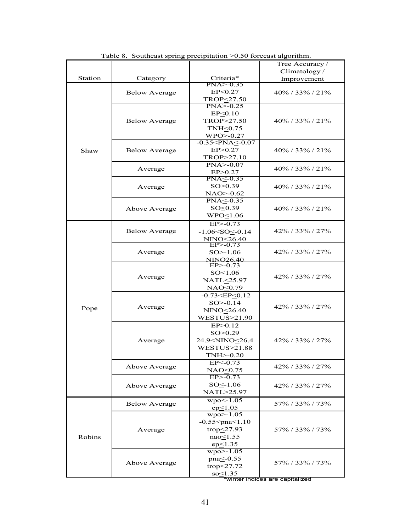| Climatology/<br>Criteria*<br>Station<br>Category<br>Improvement<br>$PNA > -0.35$<br>EP < 0.27<br>$40\%$ / 33% / 21%<br><b>Below Average</b><br>TROP<27.50<br>$PNA > -0.25$<br>EP < 0.10<br>TROP>27.50<br><b>Below Average</b><br>$40\%$ / 33% / 21%<br>TNH<0.75<br>WPO>-0.27<br>$-0.35 < PNA < -0.07$<br>EP > 0.27<br><b>Below Average</b><br>$40\%$ / 33% / 21%<br>Shaw<br>TROP>27.10<br>$PNA > -0.07$<br>$40\%$ / 33% / 21%<br>Average<br>EP > 0.27<br>PNA < 0.35<br>SO > 0.39<br>$40\%$ / 33% / 21%<br>Average<br>$NAO > -0.62$<br>PNA<-0.35<br>SO<0.39<br>Above Average<br>$40\%$ / 33% / 21%<br>$WPO \leq 1.06$<br>$EP > -0.73$<br>$-1.06 < SO < -0.14$<br>$42\%$ / 33% / 27%<br><b>Below Average</b><br>NINO<26.40<br>$EP > -0.73$<br>$SO > -1.06$<br>$42\%$ / 33% / 27%<br>Average<br><b>NINO26.40</b><br>$EP$ $>$ -0.73<br>$SO \leq 1.06$<br>42% / 33% / 27%<br>Average<br>NATL<25.97<br>$NAO \leq 0.79$<br>$-0.73 < E$ P $< 0.12$<br>$SO > -0.14$<br>$42\%$ / 33% / 27%<br>Average<br>Pope<br>NINO <sub>26.40</sub><br><b>WESTUS&gt;21.90</b><br>EP > 0.12<br>SO > 0.29<br>24.9 <nino<26.4<br><math>42\%</math> / 33% / 27%<br/>Average<br/><b>WESTUS&gt;21.88</b><br/><math>TNH &gt; -0.20</math><br/><math>EP &lt; -0.73</math><br/>Above Average<br/><math>42\%</math> / 33% / 27%<br/>NAO<sub>0.75</sub><br/><math>EP</math> <math>\geq</math> -0.73<br/><math>SO \le -1.06</math><br/><math>42\%</math> / 33% / 27%<br/>Above Average<br/>NATL&gt;25.97<br/><math>wpo \leq -1.05</math><br/>57% / 33% / 73%<br/><b>Below Average</b><br/><math>ep \le 1.05</math><br/><math>wpo&gt;=1.05</math><br/><math>-0.55</math><pna<math>\leq1.10<br/>trop<math>\leq</math>27.93<br/>57% / 33% / 73%<br/>Average<br/>nao<sub>1.55</sub><br/>Robins<br/><math>ep \leq 1.35</math><br/><math>wpo&gt;=1.05</math><br/>pna<br/>&lt;-0.55<br/>57% / 33% / 73%<br/>Above Average<br>trop<math>\leq</math>27.72<br/><math>so \leq 1.35</math></br></pna<math></nino<26.4<br> |  | Tree Accuracy / |
|----------------------------------------------------------------------------------------------------------------------------------------------------------------------------------------------------------------------------------------------------------------------------------------------------------------------------------------------------------------------------------------------------------------------------------------------------------------------------------------------------------------------------------------------------------------------------------------------------------------------------------------------------------------------------------------------------------------------------------------------------------------------------------------------------------------------------------------------------------------------------------------------------------------------------------------------------------------------------------------------------------------------------------------------------------------------------------------------------------------------------------------------------------------------------------------------------------------------------------------------------------------------------------------------------------------------------------------------------------------------------------------------------------------------------------------------------------------------------------------------------------------------------------------------------------------------------------------------------------------------------------------------------------------------------------------------------------------------------------------------------------------------------------------------------------------------------------------------------------------------------------------------------------------------------------------------------------------------------|--|-----------------|
|                                                                                                                                                                                                                                                                                                                                                                                                                                                                                                                                                                                                                                                                                                                                                                                                                                                                                                                                                                                                                                                                                                                                                                                                                                                                                                                                                                                                                                                                                                                                                                                                                                                                                                                                                                                                                                                                                                                                                                            |  |                 |
|                                                                                                                                                                                                                                                                                                                                                                                                                                                                                                                                                                                                                                                                                                                                                                                                                                                                                                                                                                                                                                                                                                                                                                                                                                                                                                                                                                                                                                                                                                                                                                                                                                                                                                                                                                                                                                                                                                                                                                            |  |                 |
|                                                                                                                                                                                                                                                                                                                                                                                                                                                                                                                                                                                                                                                                                                                                                                                                                                                                                                                                                                                                                                                                                                                                                                                                                                                                                                                                                                                                                                                                                                                                                                                                                                                                                                                                                                                                                                                                                                                                                                            |  |                 |
|                                                                                                                                                                                                                                                                                                                                                                                                                                                                                                                                                                                                                                                                                                                                                                                                                                                                                                                                                                                                                                                                                                                                                                                                                                                                                                                                                                                                                                                                                                                                                                                                                                                                                                                                                                                                                                                                                                                                                                            |  |                 |
|                                                                                                                                                                                                                                                                                                                                                                                                                                                                                                                                                                                                                                                                                                                                                                                                                                                                                                                                                                                                                                                                                                                                                                                                                                                                                                                                                                                                                                                                                                                                                                                                                                                                                                                                                                                                                                                                                                                                                                            |  |                 |
|                                                                                                                                                                                                                                                                                                                                                                                                                                                                                                                                                                                                                                                                                                                                                                                                                                                                                                                                                                                                                                                                                                                                                                                                                                                                                                                                                                                                                                                                                                                                                                                                                                                                                                                                                                                                                                                                                                                                                                            |  |                 |
|                                                                                                                                                                                                                                                                                                                                                                                                                                                                                                                                                                                                                                                                                                                                                                                                                                                                                                                                                                                                                                                                                                                                                                                                                                                                                                                                                                                                                                                                                                                                                                                                                                                                                                                                                                                                                                                                                                                                                                            |  |                 |
|                                                                                                                                                                                                                                                                                                                                                                                                                                                                                                                                                                                                                                                                                                                                                                                                                                                                                                                                                                                                                                                                                                                                                                                                                                                                                                                                                                                                                                                                                                                                                                                                                                                                                                                                                                                                                                                                                                                                                                            |  |                 |
|                                                                                                                                                                                                                                                                                                                                                                                                                                                                                                                                                                                                                                                                                                                                                                                                                                                                                                                                                                                                                                                                                                                                                                                                                                                                                                                                                                                                                                                                                                                                                                                                                                                                                                                                                                                                                                                                                                                                                                            |  |                 |
|                                                                                                                                                                                                                                                                                                                                                                                                                                                                                                                                                                                                                                                                                                                                                                                                                                                                                                                                                                                                                                                                                                                                                                                                                                                                                                                                                                                                                                                                                                                                                                                                                                                                                                                                                                                                                                                                                                                                                                            |  |                 |
|                                                                                                                                                                                                                                                                                                                                                                                                                                                                                                                                                                                                                                                                                                                                                                                                                                                                                                                                                                                                                                                                                                                                                                                                                                                                                                                                                                                                                                                                                                                                                                                                                                                                                                                                                                                                                                                                                                                                                                            |  |                 |
|                                                                                                                                                                                                                                                                                                                                                                                                                                                                                                                                                                                                                                                                                                                                                                                                                                                                                                                                                                                                                                                                                                                                                                                                                                                                                                                                                                                                                                                                                                                                                                                                                                                                                                                                                                                                                                                                                                                                                                            |  |                 |
|                                                                                                                                                                                                                                                                                                                                                                                                                                                                                                                                                                                                                                                                                                                                                                                                                                                                                                                                                                                                                                                                                                                                                                                                                                                                                                                                                                                                                                                                                                                                                                                                                                                                                                                                                                                                                                                                                                                                                                            |  |                 |
|                                                                                                                                                                                                                                                                                                                                                                                                                                                                                                                                                                                                                                                                                                                                                                                                                                                                                                                                                                                                                                                                                                                                                                                                                                                                                                                                                                                                                                                                                                                                                                                                                                                                                                                                                                                                                                                                                                                                                                            |  |                 |
|                                                                                                                                                                                                                                                                                                                                                                                                                                                                                                                                                                                                                                                                                                                                                                                                                                                                                                                                                                                                                                                                                                                                                                                                                                                                                                                                                                                                                                                                                                                                                                                                                                                                                                                                                                                                                                                                                                                                                                            |  |                 |
|                                                                                                                                                                                                                                                                                                                                                                                                                                                                                                                                                                                                                                                                                                                                                                                                                                                                                                                                                                                                                                                                                                                                                                                                                                                                                                                                                                                                                                                                                                                                                                                                                                                                                                                                                                                                                                                                                                                                                                            |  |                 |
|                                                                                                                                                                                                                                                                                                                                                                                                                                                                                                                                                                                                                                                                                                                                                                                                                                                                                                                                                                                                                                                                                                                                                                                                                                                                                                                                                                                                                                                                                                                                                                                                                                                                                                                                                                                                                                                                                                                                                                            |  |                 |
|                                                                                                                                                                                                                                                                                                                                                                                                                                                                                                                                                                                                                                                                                                                                                                                                                                                                                                                                                                                                                                                                                                                                                                                                                                                                                                                                                                                                                                                                                                                                                                                                                                                                                                                                                                                                                                                                                                                                                                            |  |                 |
|                                                                                                                                                                                                                                                                                                                                                                                                                                                                                                                                                                                                                                                                                                                                                                                                                                                                                                                                                                                                                                                                                                                                                                                                                                                                                                                                                                                                                                                                                                                                                                                                                                                                                                                                                                                                                                                                                                                                                                            |  |                 |
|                                                                                                                                                                                                                                                                                                                                                                                                                                                                                                                                                                                                                                                                                                                                                                                                                                                                                                                                                                                                                                                                                                                                                                                                                                                                                                                                                                                                                                                                                                                                                                                                                                                                                                                                                                                                                                                                                                                                                                            |  |                 |
|                                                                                                                                                                                                                                                                                                                                                                                                                                                                                                                                                                                                                                                                                                                                                                                                                                                                                                                                                                                                                                                                                                                                                                                                                                                                                                                                                                                                                                                                                                                                                                                                                                                                                                                                                                                                                                                                                                                                                                            |  |                 |
|                                                                                                                                                                                                                                                                                                                                                                                                                                                                                                                                                                                                                                                                                                                                                                                                                                                                                                                                                                                                                                                                                                                                                                                                                                                                                                                                                                                                                                                                                                                                                                                                                                                                                                                                                                                                                                                                                                                                                                            |  |                 |
|                                                                                                                                                                                                                                                                                                                                                                                                                                                                                                                                                                                                                                                                                                                                                                                                                                                                                                                                                                                                                                                                                                                                                                                                                                                                                                                                                                                                                                                                                                                                                                                                                                                                                                                                                                                                                                                                                                                                                                            |  |                 |
|                                                                                                                                                                                                                                                                                                                                                                                                                                                                                                                                                                                                                                                                                                                                                                                                                                                                                                                                                                                                                                                                                                                                                                                                                                                                                                                                                                                                                                                                                                                                                                                                                                                                                                                                                                                                                                                                                                                                                                            |  |                 |
|                                                                                                                                                                                                                                                                                                                                                                                                                                                                                                                                                                                                                                                                                                                                                                                                                                                                                                                                                                                                                                                                                                                                                                                                                                                                                                                                                                                                                                                                                                                                                                                                                                                                                                                                                                                                                                                                                                                                                                            |  |                 |
|                                                                                                                                                                                                                                                                                                                                                                                                                                                                                                                                                                                                                                                                                                                                                                                                                                                                                                                                                                                                                                                                                                                                                                                                                                                                                                                                                                                                                                                                                                                                                                                                                                                                                                                                                                                                                                                                                                                                                                            |  |                 |
|                                                                                                                                                                                                                                                                                                                                                                                                                                                                                                                                                                                                                                                                                                                                                                                                                                                                                                                                                                                                                                                                                                                                                                                                                                                                                                                                                                                                                                                                                                                                                                                                                                                                                                                                                                                                                                                                                                                                                                            |  |                 |
|                                                                                                                                                                                                                                                                                                                                                                                                                                                                                                                                                                                                                                                                                                                                                                                                                                                                                                                                                                                                                                                                                                                                                                                                                                                                                                                                                                                                                                                                                                                                                                                                                                                                                                                                                                                                                                                                                                                                                                            |  |                 |
|                                                                                                                                                                                                                                                                                                                                                                                                                                                                                                                                                                                                                                                                                                                                                                                                                                                                                                                                                                                                                                                                                                                                                                                                                                                                                                                                                                                                                                                                                                                                                                                                                                                                                                                                                                                                                                                                                                                                                                            |  |                 |
|                                                                                                                                                                                                                                                                                                                                                                                                                                                                                                                                                                                                                                                                                                                                                                                                                                                                                                                                                                                                                                                                                                                                                                                                                                                                                                                                                                                                                                                                                                                                                                                                                                                                                                                                                                                                                                                                                                                                                                            |  |                 |
|                                                                                                                                                                                                                                                                                                                                                                                                                                                                                                                                                                                                                                                                                                                                                                                                                                                                                                                                                                                                                                                                                                                                                                                                                                                                                                                                                                                                                                                                                                                                                                                                                                                                                                                                                                                                                                                                                                                                                                            |  |                 |
|                                                                                                                                                                                                                                                                                                                                                                                                                                                                                                                                                                                                                                                                                                                                                                                                                                                                                                                                                                                                                                                                                                                                                                                                                                                                                                                                                                                                                                                                                                                                                                                                                                                                                                                                                                                                                                                                                                                                                                            |  |                 |
|                                                                                                                                                                                                                                                                                                                                                                                                                                                                                                                                                                                                                                                                                                                                                                                                                                                                                                                                                                                                                                                                                                                                                                                                                                                                                                                                                                                                                                                                                                                                                                                                                                                                                                                                                                                                                                                                                                                                                                            |  |                 |
|                                                                                                                                                                                                                                                                                                                                                                                                                                                                                                                                                                                                                                                                                                                                                                                                                                                                                                                                                                                                                                                                                                                                                                                                                                                                                                                                                                                                                                                                                                                                                                                                                                                                                                                                                                                                                                                                                                                                                                            |  |                 |
|                                                                                                                                                                                                                                                                                                                                                                                                                                                                                                                                                                                                                                                                                                                                                                                                                                                                                                                                                                                                                                                                                                                                                                                                                                                                                                                                                                                                                                                                                                                                                                                                                                                                                                                                                                                                                                                                                                                                                                            |  |                 |
|                                                                                                                                                                                                                                                                                                                                                                                                                                                                                                                                                                                                                                                                                                                                                                                                                                                                                                                                                                                                                                                                                                                                                                                                                                                                                                                                                                                                                                                                                                                                                                                                                                                                                                                                                                                                                                                                                                                                                                            |  |                 |
|                                                                                                                                                                                                                                                                                                                                                                                                                                                                                                                                                                                                                                                                                                                                                                                                                                                                                                                                                                                                                                                                                                                                                                                                                                                                                                                                                                                                                                                                                                                                                                                                                                                                                                                                                                                                                                                                                                                                                                            |  |                 |
|                                                                                                                                                                                                                                                                                                                                                                                                                                                                                                                                                                                                                                                                                                                                                                                                                                                                                                                                                                                                                                                                                                                                                                                                                                                                                                                                                                                                                                                                                                                                                                                                                                                                                                                                                                                                                                                                                                                                                                            |  |                 |
|                                                                                                                                                                                                                                                                                                                                                                                                                                                                                                                                                                                                                                                                                                                                                                                                                                                                                                                                                                                                                                                                                                                                                                                                                                                                                                                                                                                                                                                                                                                                                                                                                                                                                                                                                                                                                                                                                                                                                                            |  |                 |
|                                                                                                                                                                                                                                                                                                                                                                                                                                                                                                                                                                                                                                                                                                                                                                                                                                                                                                                                                                                                                                                                                                                                                                                                                                                                                                                                                                                                                                                                                                                                                                                                                                                                                                                                                                                                                                                                                                                                                                            |  |                 |
|                                                                                                                                                                                                                                                                                                                                                                                                                                                                                                                                                                                                                                                                                                                                                                                                                                                                                                                                                                                                                                                                                                                                                                                                                                                                                                                                                                                                                                                                                                                                                                                                                                                                                                                                                                                                                                                                                                                                                                            |  |                 |
|                                                                                                                                                                                                                                                                                                                                                                                                                                                                                                                                                                                                                                                                                                                                                                                                                                                                                                                                                                                                                                                                                                                                                                                                                                                                                                                                                                                                                                                                                                                                                                                                                                                                                                                                                                                                                                                                                                                                                                            |  |                 |
|                                                                                                                                                                                                                                                                                                                                                                                                                                                                                                                                                                                                                                                                                                                                                                                                                                                                                                                                                                                                                                                                                                                                                                                                                                                                                                                                                                                                                                                                                                                                                                                                                                                                                                                                                                                                                                                                                                                                                                            |  |                 |
|                                                                                                                                                                                                                                                                                                                                                                                                                                                                                                                                                                                                                                                                                                                                                                                                                                                                                                                                                                                                                                                                                                                                                                                                                                                                                                                                                                                                                                                                                                                                                                                                                                                                                                                                                                                                                                                                                                                                                                            |  |                 |
|                                                                                                                                                                                                                                                                                                                                                                                                                                                                                                                                                                                                                                                                                                                                                                                                                                                                                                                                                                                                                                                                                                                                                                                                                                                                                                                                                                                                                                                                                                                                                                                                                                                                                                                                                                                                                                                                                                                                                                            |  |                 |
|                                                                                                                                                                                                                                                                                                                                                                                                                                                                                                                                                                                                                                                                                                                                                                                                                                                                                                                                                                                                                                                                                                                                                                                                                                                                                                                                                                                                                                                                                                                                                                                                                                                                                                                                                                                                                                                                                                                                                                            |  |                 |
|                                                                                                                                                                                                                                                                                                                                                                                                                                                                                                                                                                                                                                                                                                                                                                                                                                                                                                                                                                                                                                                                                                                                                                                                                                                                                                                                                                                                                                                                                                                                                                                                                                                                                                                                                                                                                                                                                                                                                                            |  |                 |
|                                                                                                                                                                                                                                                                                                                                                                                                                                                                                                                                                                                                                                                                                                                                                                                                                                                                                                                                                                                                                                                                                                                                                                                                                                                                                                                                                                                                                                                                                                                                                                                                                                                                                                                                                                                                                                                                                                                                                                            |  |                 |
|                                                                                                                                                                                                                                                                                                                                                                                                                                                                                                                                                                                                                                                                                                                                                                                                                                                                                                                                                                                                                                                                                                                                                                                                                                                                                                                                                                                                                                                                                                                                                                                                                                                                                                                                                                                                                                                                                                                                                                            |  |                 |
|                                                                                                                                                                                                                                                                                                                                                                                                                                                                                                                                                                                                                                                                                                                                                                                                                                                                                                                                                                                                                                                                                                                                                                                                                                                                                                                                                                                                                                                                                                                                                                                                                                                                                                                                                                                                                                                                                                                                                                            |  |                 |
|                                                                                                                                                                                                                                                                                                                                                                                                                                                                                                                                                                                                                                                                                                                                                                                                                                                                                                                                                                                                                                                                                                                                                                                                                                                                                                                                                                                                                                                                                                                                                                                                                                                                                                                                                                                                                                                                                                                                                                            |  |                 |
|                                                                                                                                                                                                                                                                                                                                                                                                                                                                                                                                                                                                                                                                                                                                                                                                                                                                                                                                                                                                                                                                                                                                                                                                                                                                                                                                                                                                                                                                                                                                                                                                                                                                                                                                                                                                                                                                                                                                                                            |  |                 |
|                                                                                                                                                                                                                                                                                                                                                                                                                                                                                                                                                                                                                                                                                                                                                                                                                                                                                                                                                                                                                                                                                                                                                                                                                                                                                                                                                                                                                                                                                                                                                                                                                                                                                                                                                                                                                                                                                                                                                                            |  |                 |
|                                                                                                                                                                                                                                                                                                                                                                                                                                                                                                                                                                                                                                                                                                                                                                                                                                                                                                                                                                                                                                                                                                                                                                                                                                                                                                                                                                                                                                                                                                                                                                                                                                                                                                                                                                                                                                                                                                                                                                            |  |                 |
|                                                                                                                                                                                                                                                                                                                                                                                                                                                                                                                                                                                                                                                                                                                                                                                                                                                                                                                                                                                                                                                                                                                                                                                                                                                                                                                                                                                                                                                                                                                                                                                                                                                                                                                                                                                                                                                                                                                                                                            |  |                 |

|  |  | Table 8. Southeast spring precipitation $>0.50$ forecast algorithm. |
|--|--|---------------------------------------------------------------------|
|  |  |                                                                     |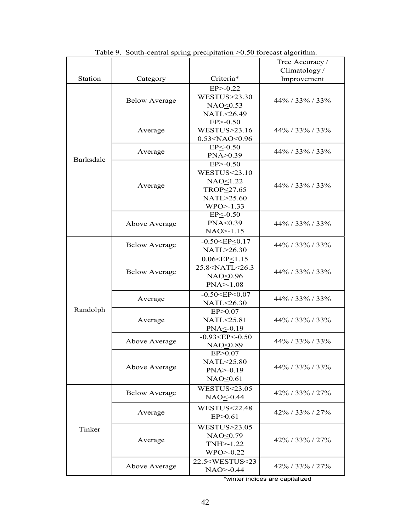|                |                      |                                               | Tree Accuracy /    |
|----------------|----------------------|-----------------------------------------------|--------------------|
|                |                      |                                               | Climatology/       |
| <b>Station</b> | Category             | Criteria*                                     | Improvement        |
|                |                      | $EP$ $-0.22$                                  |                    |
|                |                      | <b>WESTUS&gt;23.30</b>                        |                    |
|                | <b>Below Average</b> | NAO<0.53                                      | 44% / 33% / 33%    |
|                |                      | NATL<26.49                                    |                    |
|                |                      | $EP$ $>$ -0.50                                |                    |
|                | Average              | <b>WESTUS&gt;23.16</b>                        | $44\%$ / 33% / 33% |
|                |                      | 0.53 <nao<0.96< td=""><td></td></nao<0.96<>   |                    |
|                |                      | $EP < -0.50$                                  |                    |
|                | Average              | PNA > 0.39                                    | $44\%$ / 33% / 33% |
| Barksdale      |                      | $EP$ $-0.50$                                  |                    |
|                |                      | WESTUS $\leq$ 23.10                           |                    |
|                |                      | NAO<1.22                                      |                    |
|                | Average              | TROP<27.65                                    | 44% / 33% / 33%    |
|                |                      | NATL>25.60                                    |                    |
|                |                      | $WPO > -1.33$                                 |                    |
|                |                      | $EP < -0.50$                                  |                    |
|                | Above Average        | PNA<0.39                                      | $44\%$ / 33% / 33% |
|                |                      | $NAO > -1.15$                                 |                    |
|                |                      | $-0.50 < EP < 0.17$                           |                    |
|                | <b>Below Average</b> | NATL>26.30                                    | 44% / 33% / 33%    |
|                |                      | 0.06 < EP < 1.15                              |                    |
|                | <b>Below Average</b> | 25.8 <natl<26.3< td=""><td></td></natl<26.3<> |                    |
|                |                      | NAO<0.96                                      | 44% / 33% / 33%    |
|                |                      | $PNA > -1.08$                                 |                    |
|                |                      | $-0.50 < EP < 0.07$                           |                    |
|                | Average              | NATL<26.30                                    | 44% / 33% / 33%    |
| Randolph       |                      | EP>0.07                                       |                    |
|                | Average              | NATL<25.81                                    | $44\%$ / 33% / 33% |
|                |                      | PNA<-0.19                                     |                    |
|                |                      | $-0.93 < E$ P $<$ -0.50                       |                    |
|                | Above Average        | NAO<0.89                                      | 44% / 33% / 33%    |
|                |                      | EP > 0.07                                     |                    |
|                |                      | NATL<25.80                                    |                    |
|                | Above Average        | $PNA > -0.19$                                 | $44\%$ / 33% / 33% |
|                |                      | NAO<0.61                                      |                    |
|                |                      |                                               |                    |
|                | <b>Below Average</b> | WESTUS $\leq$ 23.05<br>NAO <- 0.44            | $42\%$ / 33% / 27% |
| Tinker         |                      |                                               |                    |
|                | Average              | <b>WESTUS&lt;22.48</b>                        | $42\%$ / 33% / 27% |
|                |                      | EP > 0.61                                     |                    |
|                |                      | <b>WESTUS&gt;23.05</b>                        |                    |
|                |                      | NAO<0.79                                      | $42\%$ / 33% / 27% |
|                | Average              | TNH>-1.22                                     |                    |
|                |                      | $WPO > -0.22$                                 |                    |
|                |                      | 22.5 <westus<23< td=""><td></td></westus<23<> |                    |
|                | Above Average        | $NAO > -0.44$                                 | $42\%$ / 33% / 27% |

Table 9. South-central spring precipitation >0.50 forecast algorithm.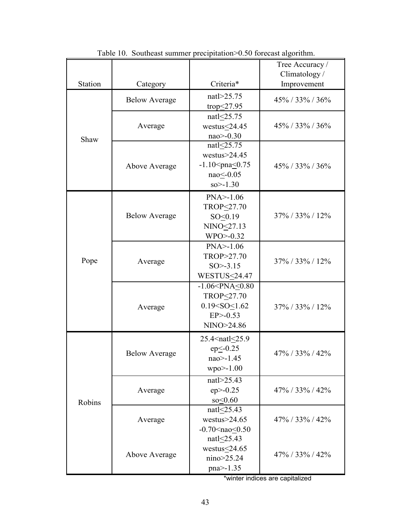|         |                      |                                                                                                                                         | Tree Accuracy /<br>Climatology/ |
|---------|----------------------|-----------------------------------------------------------------------------------------------------------------------------------------|---------------------------------|
| Station | Category             | Criteria*                                                                                                                               | Improvement                     |
|         | <b>Below Average</b> | natl>25.75<br>trop $\leq$ 27.95                                                                                                         | 45% / 33% / 36%                 |
| Shaw    | Average              | natl<25.75<br>westus < 24.45<br>$nao$ > -0.30                                                                                           | $45\%$ / 33% / 36%              |
|         | Above Average        | natl<25.75<br>westus $>$ 24.45<br>$-1.10$ <pna<math>\leq 0.75<br/><math>nao &lt; -0.05</math><br/><math>so &gt; -1.30</math></pna<math> | $45\%$ / 33% / 36%              |
|         | <b>Below Average</b> | $PNA > -1.06$<br>TROP<27.70<br>SO<0.19<br>NINO<27.13<br>$WPO > -0.32$                                                                   | 37% / 33% / 12%                 |
| Pope    | Average              | $PNA > -1.06$<br>TROP>27.70<br>$SO > -3.15$<br><b>WESTUS&lt;24.47</b>                                                                   | 37% / 33% / 12%                 |
|         | Average              | $-1.06 < PNA \le 0.80$<br>TROP<27.70<br>$0.19 < SO \le 1.62$<br>$EP$ $> -0.53$<br>NINO>24.86                                            | $37\%$ / 33% / 12%              |
|         | <b>Below Average</b> | 25.4 <natl<25.9<br><math>ep \le -0.25</math><br/><math>nao</math> - 1.45<br/><math>wpo&gt;=1.00</math></natl<25.9<br>                   | 47% / 33% / 42%                 |
| Robins  | Average              | natl>25.43<br>$ep$ $>$ -0.25<br>so < 0.60                                                                                               | 47% / 33% / 42%                 |
|         | Average              | natl<25.43<br>westus $>$ 24.65<br>$-0.70 \leq na \leq 0.50$                                                                             | 47% / 33% / 42%                 |
|         | Above Average        | nat $\leq$ 25.43<br>westus $\leq$ 24.65<br>nino>25.24<br>pna>-1.35                                                                      | 47% / 33% / 42%                 |

Table 10. Southeast summer precipitation > 0.50 forecast algorithm.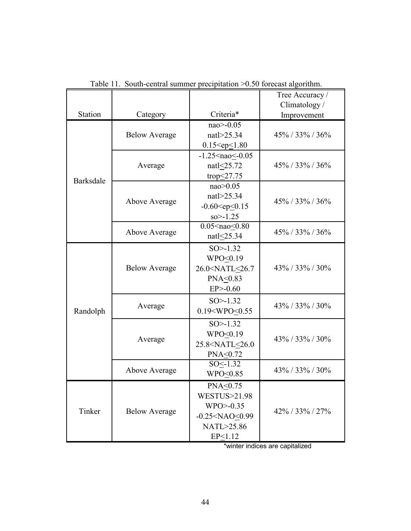|           |                      |                                                                                                                     | Tree Accuracy /<br>Climatology/ |
|-----------|----------------------|---------------------------------------------------------------------------------------------------------------------|---------------------------------|
| Station   | Category             | Criteria*                                                                                                           | Improvement                     |
|           | <b>Below Average</b> | nao>-0.05<br>natl>25.34<br>$0.15 < ep \le 1.80$                                                                     | $45\% / 33\% / 36\%$            |
| Barksdale | Average              | $-1.25$ <nao<math>\leq 0.05<br/>natl<math>\leq</math>25.72<br/>trop<math>\leq</math>27.75</nao<math>                | $45\% / 33\% / 36\%$            |
|           | Above Average        | nao > 0.05<br>natl>25.34<br>$-0.60 < ep \le 0.15$<br>$so > -1.25$                                                   | 45% / 33% / 36%                 |
|           | Above Average        | $0.05$ <nao<0.80<br>nat<math>l \leq 25.34</math></nao<0.80<br>                                                      | $45\%$ / 33% / 36%              |
|           | <b>Below Average</b> | $SO > -1.32$<br>WPO<0.19<br>26.0 <natl<26.7<br>PNA&lt;0.83<br/><math>EP</math><math>&gt;</math>-0.60</natl<26.7<br> | 43% / 33% / 30%                 |
| Randolph  | Average              | $SO > -1.32$<br>0.19 < WPO < 0.55                                                                                   | $43\%$ / 33% / 30%              |
|           | Average              | $SO > -1.32$<br>$WPO \leq 0.19$<br>25.8 <natl<26.0<br>PNA&lt;0.72</natl<26.0<br>                                    | $43\%$ / 33% / 30%              |
|           | Above Average        | $SO < -1.32$<br>WPO<0.85                                                                                            | 43% / 33% / 30%                 |
| Tinker    | <b>Below Average</b> | $PNA \leq 0.75$<br>WESTUS>21.98<br>$WPO > -0.35$<br>$-0.25 < NAO < 0.99$<br>NATL>25.86<br>EP<1.12                   | $42\%$ / 33% / 27%              |

Table 11. South-central summer precipitation >0.50 forecast algorithm.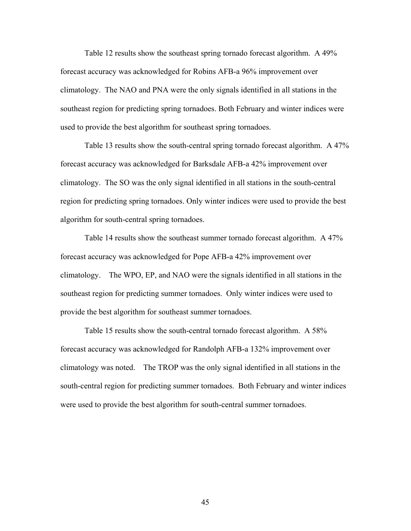Table 12 results show the southeast spring tornado forecast algorithm. A 49% forecast accuracy was acknowledged for Robins AFB-a 96% improvement over climatology. The NAO and PNA were the only signals identified in all stations in the southeast region for predicting spring tornadoes. Both February and winter indices were used to provide the best algorithm for southeast spring tornadoes.

Table 13 results show the south-central spring tornado forecast algorithm. A 47% forecast accuracy was acknowledged for Barksdale AFB-a 42% improvement over climatology. The SO was the only signal identified in all stations in the south-central region for predicting spring tornadoes. Only winter indices were used to provide the best algorithm for south-central spring tornadoes.

Table 14 results show the southeast summer tornado forecast algorithm. A 47% forecast accuracy was acknowledged for Pope AFB-a 42% improvement over climatology. The WPO, EP, and NAO were the signals identified in all stations in the southeast region for predicting summer tornadoes. Only winter indices were used to provide the best algorithm for southeast summer tornadoes.

Table 15 results show the south-central tornado forecast algorithm. A 58% forecast accuracy was acknowledged for Randolph AFB-a 132% improvement over climatology was noted. The TROP was the only signal identified in all stations in the south-central region for predicting summer tornadoes. Both February and winter indices were used to provide the best algorithm for south-central summer tornadoes.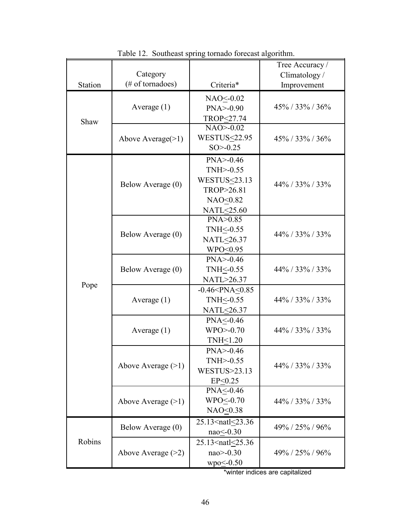|         | Category             |                                                                               | Tree Accuracy /<br>Climatology/ |  |
|---------|----------------------|-------------------------------------------------------------------------------|---------------------------------|--|
| Station | (# of tornadoes)     | Criteria*                                                                     | Improvement                     |  |
|         |                      | NAO<br><u>&lt;</u> 0.02                                                       |                                 |  |
|         | Average $(1)$        | $PNA > -0.90$                                                                 | 45% / 33% / 36%                 |  |
|         |                      | TROP<27.74                                                                    |                                 |  |
| Shaw    |                      | $NAO > -0.02$                                                                 |                                 |  |
|         | Above Average $(>1)$ | <b>WESTUS&lt;22.95</b>                                                        | $45\%$ / 33% / 36%              |  |
|         |                      | $SO > -0.25$                                                                  |                                 |  |
|         |                      | $PNA > -0.46$                                                                 |                                 |  |
|         |                      | $TNH > -0.55$                                                                 |                                 |  |
|         | Below Average (0)    | WESTUS<23.13                                                                  | 44% / 33% / 33%                 |  |
|         |                      | TROP>26.81                                                                    |                                 |  |
|         |                      | NAO<0.82                                                                      |                                 |  |
|         |                      | NATL<25.60                                                                    |                                 |  |
|         |                      | PNA>0.85                                                                      |                                 |  |
|         | Below Average (0)    | TNH <- 0.55                                                                   | 44% / 33% / 33%                 |  |
|         |                      | NATL<26.37                                                                    |                                 |  |
|         |                      | WPO<0.95                                                                      |                                 |  |
|         |                      | $PNA > -0.46$                                                                 |                                 |  |
|         | Below Average (0)    | TNH <- 0.55<br>44% / 33% / 33%                                                |                                 |  |
| Pope    |                      | NATL>26.37                                                                    |                                 |  |
|         | $-0.46 < PNA < 0.85$ |                                                                               |                                 |  |
|         | Average $(1)$        | TNH <- 0.55                                                                   | 44% / 33% / 33%                 |  |
|         |                      | NATL<26.37                                                                    |                                 |  |
|         |                      | $PNA \leq 0.46$                                                               |                                 |  |
|         | Average $(1)$        | $WPO > -0.70$                                                                 | $44\%$ / 33% / 33%              |  |
|         |                      | TNH<1.20                                                                      |                                 |  |
|         |                      | $PNA > -0.46$                                                                 |                                 |  |
|         | Above Average $(>1)$ | $TNH > -0.55$                                                                 | $44\%$ / 33% / 33%              |  |
|         |                      | WESTUS>23.13                                                                  |                                 |  |
|         |                      | EP < 0.25                                                                     |                                 |  |
|         |                      | PNA<-0.46                                                                     |                                 |  |
|         | Above Average $(>1)$ | WPO<-0.70                                                                     | $44\%$ / 33% / 33%              |  |
|         |                      | $NAO \leq 0.38$                                                               |                                 |  |
|         | Below Average (0)    | 25.13 <natl<23.36< td=""><td><math>49\%</math> / 25% / 96%</td></natl<23.36<> | $49\%$ / 25% / 96%              |  |
|         |                      | $nao < -0.30$                                                                 |                                 |  |
| Robins  |                      | 25.13 <natl<25.36< td=""><td></td></natl<25.36<>                              |                                 |  |
|         | Above Average $(>2)$ | $nao$ $>$ -0.30                                                               | $49\%$ / 25% / 96%              |  |
|         |                      | $wpo \leq -0.50$                                                              |                                 |  |

Table 12. Southeast spring tornado forecast algorithm.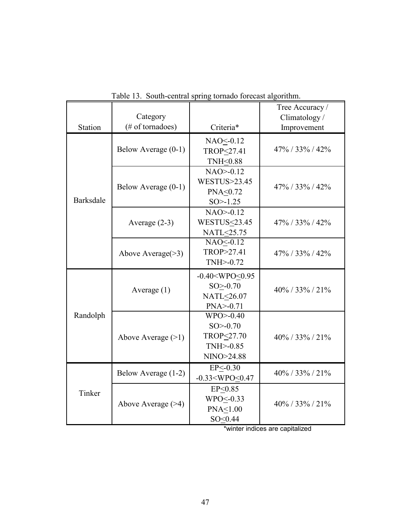| <b>Station</b> | Category<br>(# of tornadoes) | Criteria*                                                                    | Tree Accuracy /<br>Climatology/ |
|----------------|------------------------------|------------------------------------------------------------------------------|---------------------------------|
|                |                              |                                                                              | Improvement                     |
| Barksdale      | Below Average (0-1)          | NAO < 0.12<br>TROP<27.41<br>TNH<0.88                                         | $47\%$ / 33% / 42%              |
|                | Below Average (0-1)          | $NAO > -0.12$<br><b>WESTUS&gt;23.45</b><br>PNA<0.72<br>$SO > -1.25$          | $47\%$ / 33% / 42%              |
|                | Average $(2-3)$              | $NAO > -0.12$<br><b>WESTUS&lt;23.45</b><br>NATL<25.75                        | $47\%$ / 33% / 42%              |
|                | Above Average $(>3)$         | NAO < 0.12<br>TROP>27.41<br>$TNH > -0.72$                                    | 47% / 33% / 42%                 |
| Randolph       | Average $(1)$                | $-0.40 < WPO \le 0.95$<br>$SO > -0.70$<br>NATL<26.07<br>$PNA > -0.71$        | $40\%$ / 33% / 21%              |
|                | Above Average $(>1)$         | $WPO > -0.40$<br>$SO > -0.70$<br>TROP<27.70<br>$TNH$ $>$ -0.85<br>NINO>24.88 | $40\%$ / 33% / 21%              |
| Tinker         | Below Average (1-2)          | $EP < -0.30$<br>$-0.33 < WPO < 0.47$                                         | $40\% / 33\% / 21\%$            |
|                | Above Average $($ >4)        | EP<0.85<br>WPO<-0.33<br>PNA<1.00<br>SO < 0.44                                | $40\%$ / 33% / 21%              |

Table 13. South-central spring tornado forecast algorithm.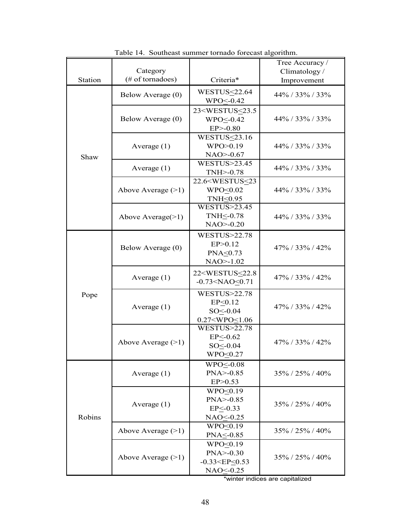|         | Category             |                                                                                                         | Tree Accuracy /<br>Climatology/ |
|---------|----------------------|---------------------------------------------------------------------------------------------------------|---------------------------------|
| Station | (# of tornadoes)     | Criteria*                                                                                               | Improvement                     |
| Shaw    | Below Average (0)    | WESTUS<22.64<br>WPO<-0.42                                                                               | 44% / 33% / 33%                 |
|         | Below Average (0)    | 23 <westus<23.5<br><math>WPO2 - 0.42</math><br/><math>EP</math><math>&gt; -0.80</math></westus<23.5<br> | $44\%$ / 33% / 33%              |
|         | Average $(1)$        | WESTUS $\leq$ 23.16<br>WPO>0.19<br>$NAO > -0.67$                                                        | $44\%$ / 33% / 33%              |
|         | Average $(1)$        | <b>WESTUS&gt;23.45</b><br>TNH>-0.78                                                                     | $44\%$ / 33% / 33%              |
|         | Above Average $(>1)$ | 22.6 <westus<23<br>WPO&lt;0.02<br/>TNH&lt;0.95</westus<23<br>                                           | $44\%$ / 33% / 33%              |
|         | Above Average $(>1)$ | WESTUS>23.45<br>TNH $\leq$ -0.78<br>$NAO > -0.20$                                                       | $44\%$ / 33% / 33%              |
| Pope    | Below Average (0)    | <b>WESTUS&gt;22.78</b><br>EP > 0.12<br>PNA<0.73<br>$NAO > -1.02$                                        | $47\%$ / 33% / 42%              |
|         | Average $(1)$        | 22 <westus<22.8<br><math>-0.73 &lt; NAO \le 0.71</math></westus<22.8<br>                                | $47\%$ / 33% / 42%              |
|         | Average $(1)$        | <b>WESTUS&gt;22.78</b><br>EP < 0.12<br>$SO < -0.04$<br>$0.27 < WPO \le 1.06$                            | $47\%$ / 33% / 42%              |
|         | Above Average $(>1)$ | <b>WESTUS&gt;22.78</b><br>$EP < -0.62$<br>$SO < -0.04$<br>$WPO \leq 0.27$                               | 47% / 33% / 42%                 |
| Robins  | Average $(1)$        | $WPO1 - 0.08$<br>$PNA > -0.85$<br>EP > 0.53                                                             | $35\% / 25\% / 40\%$            |
|         | Average $(1)$        | $WPO \leq 0.19$<br>$PNA > -0.85$<br>$EP < -0.33$<br>NAO<0.25                                            | $35\% / 25\% / 40\%$            |
|         | Above Average $(>1)$ | WPO<0.19<br>PNA<-0.85                                                                                   | $35\%$ / $25\%$ / $40\%$        |
|         | Above Average $(>1)$ | WPO<0.19<br>$PNA > -0.30$<br>$-0.33 < E P \le 0.53$<br>NAO<-0.25                                        | 35% / 25% / 40%                 |

Table 14. Southeast summer tornado forecast algorithm.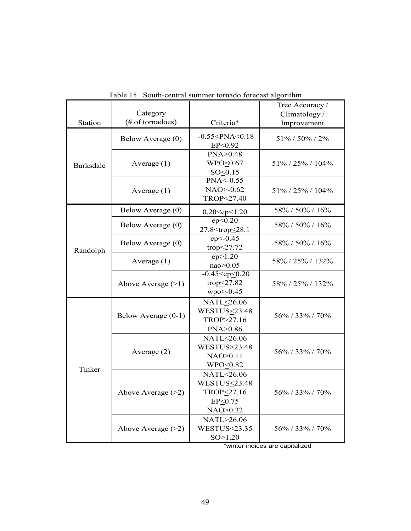| Station          | Category<br>(# of tornadoes) | Criteria*                                                                 | Tree Accuracy /<br>Climatology/<br>Improvement |
|------------------|------------------------------|---------------------------------------------------------------------------|------------------------------------------------|
| <b>Barksdale</b> | Below Average (0)            | $-0.55 < PNA < 0.18$<br>EP<0.92                                           | 51% / 50% / 2%                                 |
|                  | Average $(1)$                | PNA>0.48<br>WPO<0.67<br>SO < 0.15                                         | 51%/25%/104%                                   |
|                  | Average $(1)$                | $PNA \leq 0.55$<br>$NAO > -0.62$<br>TROP<27.40                            | 51%/25%/104%                                   |
| Randolph         | Below Average (0)            | $0.20 < ep \le 1.20$                                                      | 58% / 50% / 16%                                |
|                  | Below Average (0)            | ep < 0.20<br>27.8 <trop<28.1< td=""><td>58% / 50% / 16%</td></trop<28.1<> | 58% / 50% / 16%                                |
|                  | Below Average (0)            | $ep < -0.45$<br>trop $\leq$ 27.72                                         | 58% / 50% / 16%                                |
|                  | Average $(1)$                | ep > 1.20<br>nao>0.05                                                     | 58% / 25% / 132%                               |
|                  | Above Average $(>1)$         | $-0.45 < ep \le 0.20$<br>trop<27.82<br>wpo>-0.45                          | 58% / 25% / 132%                               |
| Tinker           | Below Average (0-1)          | NATL<26.06<br><b>WESTUS&lt;23.48</b><br>TROP>27.16<br>PNA>0.86            | 56% / 33% / 70%                                |
|                  | Average $(2)$                | NATL<26.06<br><b>WESTUS&gt;23.48</b><br>NAO>0.11<br>WPO<0.82              | 56% / 33% / 70%                                |
|                  | Above Average $(>2)$         | NATL<26.06<br><b>WESTUS&lt;23.48</b><br>TROP<27.16<br>EP<0.75<br>NAO>0.32 | 56\% / 33\% / 70\%                             |
|                  | Above Average $(>2)$         | NATL>26.06<br><b>WESTUS&lt;23.35</b><br>SO>1.20                           | 56% / 33% / 70%                                |

Table 15. South-central summer tornado forecast algorithm.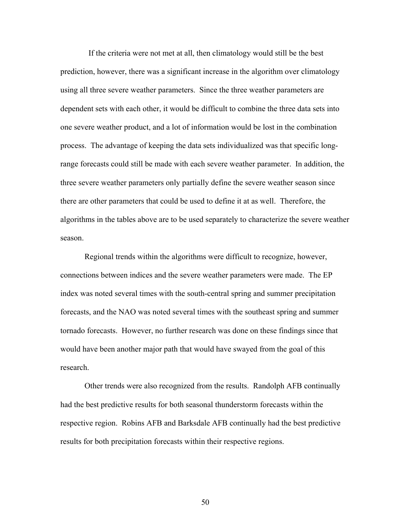If the criteria were not met at all, then climatology would still be the best prediction, however, there was a significant increase in the algorithm over climatology using all three severe weather parameters. Since the three weather parameters are dependent sets with each other, it would be difficult to combine the three data sets into one severe weather product, and a lot of information would be lost in the combination process. The advantage of keeping the data sets individualized was that specific longrange forecasts could still be made with each severe weather parameter. In addition, the three severe weather parameters only partially define the severe weather season since there are other parameters that could be used to define it at as well. Therefore, the algorithms in the tables above are to be used separately to characterize the severe weather season.

Regional trends within the algorithms were difficult to recognize, however, connections between indices and the severe weather parameters were made. The EP index was noted several times with the south-central spring and summer precipitation forecasts, and the NAO was noted several times with the southeast spring and summer tornado forecasts. However, no further research was done on these findings since that would have been another major path that would have swayed from the goal of this research.

Other trends were also recognized from the results. Randolph AFB continually had the best predictive results for both seasonal thunderstorm forecasts within the respective region. Robins AFB and Barksdale AFB continually had the best predictive results for both precipitation forecasts within their respective regions.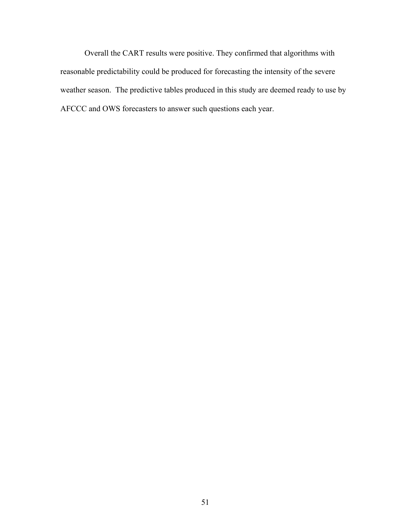Overall the CART results were positive. They confirmed that algorithms with reasonable predictability could be produced for forecasting the intensity of the severe weather season. The predictive tables produced in this study are deemed ready to use by AFCCC and OWS forecasters to answer such questions each year.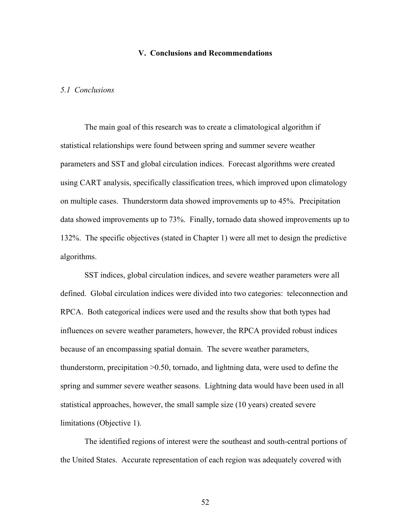## **V. Conclusions and Recommendations**

## *5.1 Conclusions*

The main goal of this research was to create a climatological algorithm if statistical relationships were found between spring and summer severe weather parameters and SST and global circulation indices. Forecast algorithms were created using CART analysis, specifically classification trees, which improved upon climatology on multiple cases. Thunderstorm data showed improvements up to 45%. Precipitation data showed improvements up to 73%. Finally, tornado data showed improvements up to 132%. The specific objectives (stated in Chapter 1) were all met to design the predictive algorithms.

SST indices, global circulation indices, and severe weather parameters were all defined. Global circulation indices were divided into two categories: teleconnection and RPCA. Both categorical indices were used and the results show that both types had influences on severe weather parameters, however, the RPCA provided robust indices because of an encompassing spatial domain. The severe weather parameters, thunderstorm, precipitation >0.50, tornado, and lightning data, were used to define the spring and summer severe weather seasons. Lightning data would have been used in all statistical approaches, however, the small sample size (10 years) created severe limitations (Objective 1).

The identified regions of interest were the southeast and south-central portions of the United States. Accurate representation of each region was adequately covered with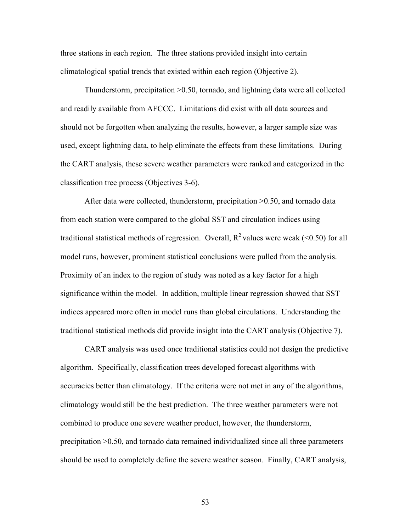three stations in each region. The three stations provided insight into certain climatological spatial trends that existed within each region (Objective 2).

Thunderstorm, precipitation >0.50, tornado, and lightning data were all collected and readily available from AFCCC. Limitations did exist with all data sources and should not be forgotten when analyzing the results, however, a larger sample size was used, except lightning data, to help eliminate the effects from these limitations. During the CART analysis, these severe weather parameters were ranked and categorized in the classification tree process (Objectives 3-6).

After data were collected, thunderstorm, precipitation >0.50, and tornado data from each station were compared to the global SST and circulation indices using traditional statistical methods of regression. Overall,  $R^2$  values were weak (<0.50) for all model runs, however, prominent statistical conclusions were pulled from the analysis. Proximity of an index to the region of study was noted as a key factor for a high significance within the model. In addition, multiple linear regression showed that SST indices appeared more often in model runs than global circulations. Understanding the traditional statistical methods did provide insight into the CART analysis (Objective 7).

CART analysis was used once traditional statistics could not design the predictive algorithm. Specifically, classification trees developed forecast algorithms with accuracies better than climatology. If the criteria were not met in any of the algorithms, climatology would still be the best prediction. The three weather parameters were not combined to produce one severe weather product, however, the thunderstorm, precipitation >0.50, and tornado data remained individualized since all three parameters should be used to completely define the severe weather season. Finally, CART analysis,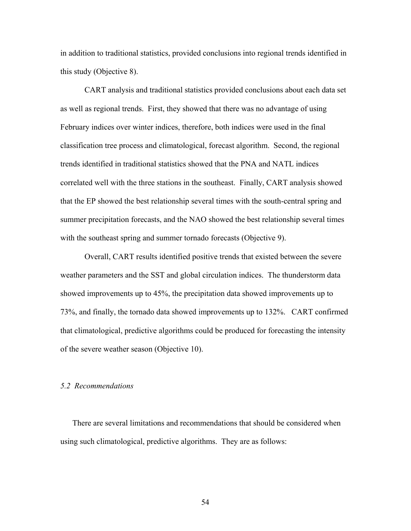in addition to traditional statistics, provided conclusions into regional trends identified in this study (Objective 8).

CART analysis and traditional statistics provided conclusions about each data set as well as regional trends. First, they showed that there was no advantage of using February indices over winter indices, therefore, both indices were used in the final classification tree process and climatological, forecast algorithm. Second, the regional trends identified in traditional statistics showed that the PNA and NATL indices correlated well with the three stations in the southeast. Finally, CART analysis showed that the EP showed the best relationship several times with the south-central spring and summer precipitation forecasts, and the NAO showed the best relationship several times with the southeast spring and summer tornado forecasts (Objective 9).

Overall, CART results identified positive trends that existed between the severe weather parameters and the SST and global circulation indices. The thunderstorm data showed improvements up to 45%, the precipitation data showed improvements up to 73%, and finally, the tornado data showed improvements up to 132%. CART confirmed that climatological, predictive algorithms could be produced for forecasting the intensity of the severe weather season (Objective 10).

#### *5.2 Recommendations*

There are several limitations and recommendations that should be considered when using such climatological, predictive algorithms. They are as follows: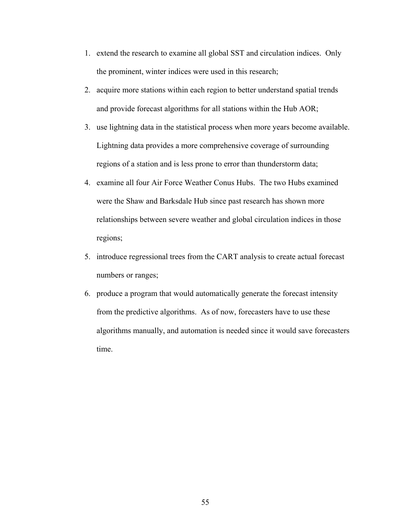- 1. extend the research to examine all global SST and circulation indices. Only the prominent, winter indices were used in this research;
- 2. acquire more stations within each region to better understand spatial trends and provide forecast algorithms for all stations within the Hub AOR;
- 3. use lightning data in the statistical process when more years become available. Lightning data provides a more comprehensive coverage of surrounding regions of a station and is less prone to error than thunderstorm data;
- 4. examine all four Air Force Weather Conus Hubs. The two Hubs examined were the Shaw and Barksdale Hub since past research has shown more relationships between severe weather and global circulation indices in those regions;
- 5. introduce regressional trees from the CART analysis to create actual forecast numbers or ranges;
- 6. produce a program that would automatically generate the forecast intensity from the predictive algorithms. As of now, forecasters have to use these algorithms manually, and automation is needed since it would save forecasters time.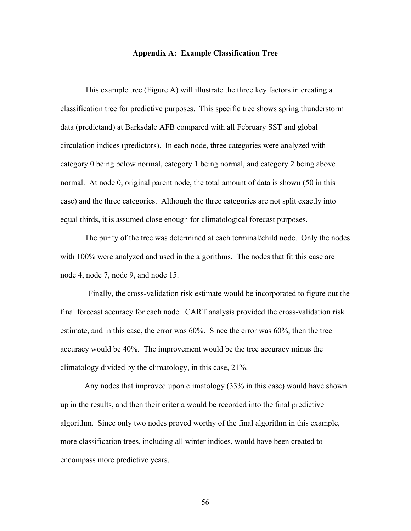## **Appendix A: Example Classification Tree**

This example tree (Figure A) will illustrate the three key factors in creating a classification tree for predictive purposes. This specific tree shows spring thunderstorm data (predictand) at Barksdale AFB compared with all February SST and global circulation indices (predictors). In each node, three categories were analyzed with category 0 being below normal, category 1 being normal, and category 2 being above normal. At node 0, original parent node, the total amount of data is shown (50 in this case) and the three categories. Although the three categories are not split exactly into equal thirds, it is assumed close enough for climatological forecast purposes.

The purity of the tree was determined at each terminal/child node. Only the nodes with 100% were analyzed and used in the algorithms. The nodes that fit this case are node 4, node 7, node 9, and node 15.

 Finally, the cross-validation risk estimate would be incorporated to figure out the final forecast accuracy for each node. CART analysis provided the cross-validation risk estimate, and in this case, the error was 60%. Since the error was 60%, then the tree accuracy would be 40%. The improvement would be the tree accuracy minus the climatology divided by the climatology, in this case, 21%.

Any nodes that improved upon climatology (33% in this case) would have shown up in the results, and then their criteria would be recorded into the final predictive algorithm. Since only two nodes proved worthy of the final algorithm in this example, more classification trees, including all winter indices, would have been created to encompass more predictive years.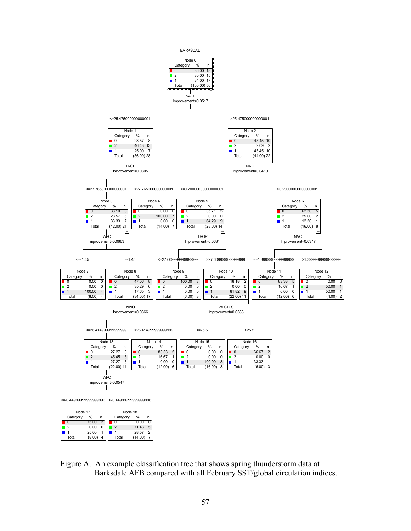

Figure A. An example classification tree that shows spring thunderstorm data at Barksdale AFB compared with all February SST/global circulation indices.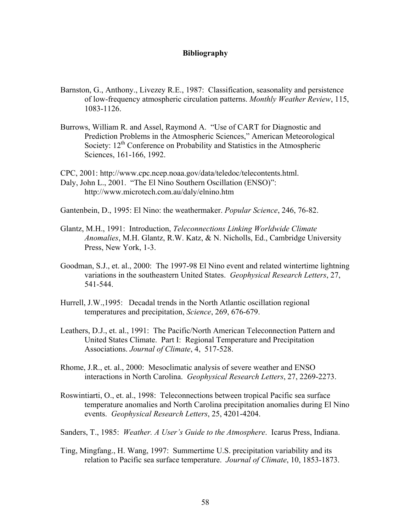# **Bibliography**

- Barnston, G., Anthony., Livezey R.E., 1987: Classification, seasonality and persistence of low-frequency atmospheric circulation patterns. *Monthly Weather Review*, 115, 1083-1126.
- Burrows, William R. and Assel, Raymond A. "Use of CART for Diagnostic and Prediction Problems in the Atmospheric Sciences," American Meteorological Society: 12<sup>th</sup> Conference on Probability and Statistics in the Atmospheric Sciences, 161-166, 1992.

CPC, 2001: http://www.cpc.ncep.noaa.gov/data/teledoc/telecontents.html. Daly, John L., 2001. "The El Nino Southern Oscillation (ENSO)": http://www.microtech.com.au/daly/elnino.htm

Gantenbein, D., 1995: El Nino: the weathermaker. *Popular Science*, 246, 76-82.

- Glantz, M.H., 1991: Introduction, *Teleconnections Linking Worldwide Climate Anomalies*, M.H. Glantz, R.W. Katz, & N. Nicholls, Ed., Cambridge University Press, New York, 1-3.
- Goodman, S.J., et. al., 2000: The 1997-98 El Nino event and related wintertime lightning variations in the southeastern United States. *Geophysical Research Letters*, 27, 541-544.
- Hurrell, J.W.,1995: Decadal trends in the North Atlantic oscillation regional temperatures and precipitation, *Science*, 269, 676-679.
- Leathers, D.J., et. al., 1991: The Pacific/North American Teleconnection Pattern and United States Climate. Part I: Regional Temperature and Precipitation Associations. *Journal of Climate*, 4, 517-528.
- Rhome, J.R., et. al., 2000: Mesoclimatic analysis of severe weather and ENSO interactions in North Carolina. *Geophysical Research Letters*, 27, 2269-2273.
- Roswintiarti, O., et. al., 1998: Teleconnections between tropical Pacific sea surface temperature anomalies and North Carolina precipitation anomalies during El Nino events. *Geophysical Research Letters*, 25, 4201-4204.
- Sanders, T., 1985: *Weather. A User's Guide to the Atmosphere*. Icarus Press, Indiana.
- Ting, Mingfang., H. Wang, 1997: Summertime U.S. precipitation variability and its relation to Pacific sea surface temperature. *Journal of Climate*, 10, 1853-1873.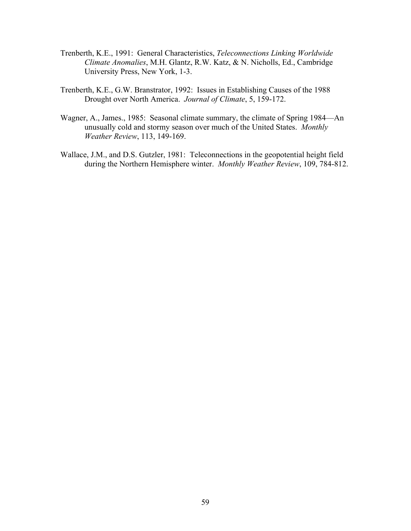- Trenberth, K.E., 1991: General Characteristics, *Teleconnections Linking Worldwide Climate Anomalies*, M.H. Glantz, R.W. Katz, & N. Nicholls, Ed., Cambridge University Press, New York, 1-3.
- Trenberth, K.E., G.W. Branstrator, 1992: Issues in Establishing Causes of the 1988 Drought over North America. *Journal of Climate*, 5, 159-172.
- Wagner, A., James., 1985: Seasonal climate summary, the climate of Spring 1984—An unusually cold and stormy season over much of the United States. *Monthly Weather Review*, 113, 149-169.
- Wallace, J.M., and D.S. Gutzler, 1981: Teleconnections in the geopotential height field during the Northern Hemisphere winter. *Monthly Weather Review*, 109, 784-812.